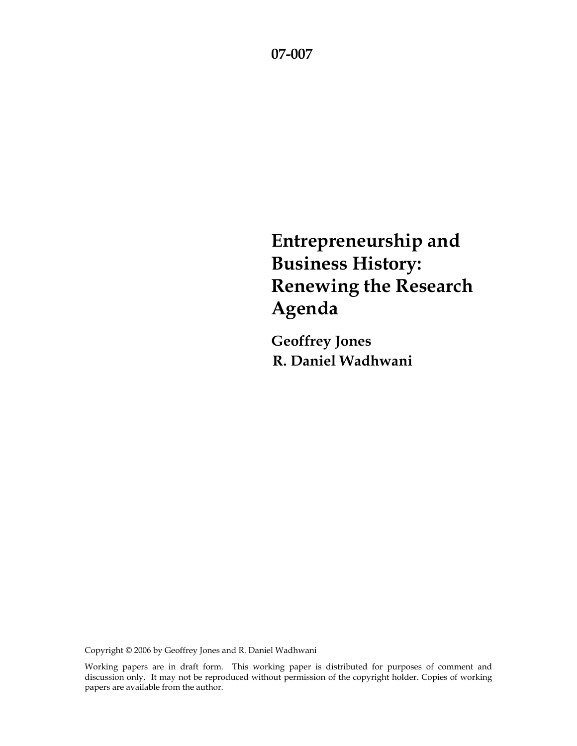**Geoffrey Jones R. Daniel Wadhwani** 

Copyright © 2006 by Geoffrey Jones and R. Daniel Wadhwani

Working papers are in draft form. This working paper is distributed for purposes of comment and discussion only. It may not be reproduced without permission of the copyright holder. Copies of working papers are available from the author.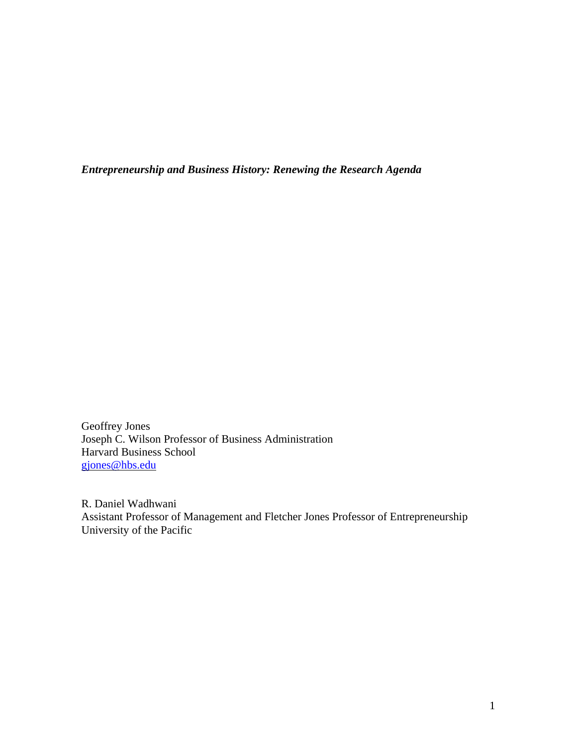Geoffrey Jones Joseph C. Wilson Professor of Business Administration Harvard Business School gjones@hbs.edu

R. Daniel Wadhwani Assistant Professor of Management and Fletcher Jones Professor of Entrepreneurship University of the Pacific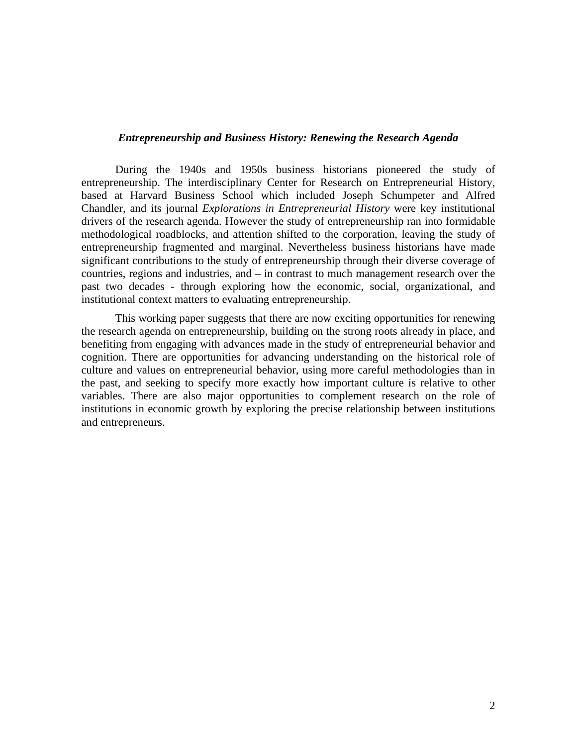During the 1940s and 1950s business historians pioneered the study of entrepreneurship. The interdisciplinary Center for Research on Entrepreneurial History, based at Harvard Business School which included Joseph Schumpeter and Alfred Chandler, and its journal *Explorations in Entrepreneurial History* were key institutional drivers of the research agenda. However the study of entrepreneurship ran into formidable methodological roadblocks, and attention shifted to the corporation, leaving the study of entrepreneurship fragmented and marginal. Nevertheless business historians have made significant contributions to the study of entrepreneurship through their diverse coverage of countries, regions and industries, and – in contrast to much management research over the past two decades - through exploring how the economic, social, organizational, and institutional context matters to evaluating entrepreneurship.

This working paper suggests that there are now exciting opportunities for renewing the research agenda on entrepreneurship, building on the strong roots already in place, and benefiting from engaging with advances made in the study of entrepreneurial behavior and cognition. There are opportunities for advancing understanding on the historical role of culture and values on entrepreneurial behavior, using more careful methodologies than in the past, and seeking to specify more exactly how important culture is relative to other variables. There are also major opportunities to complement research on the role of institutions in economic growth by exploring the precise relationship between institutions and entrepreneurs.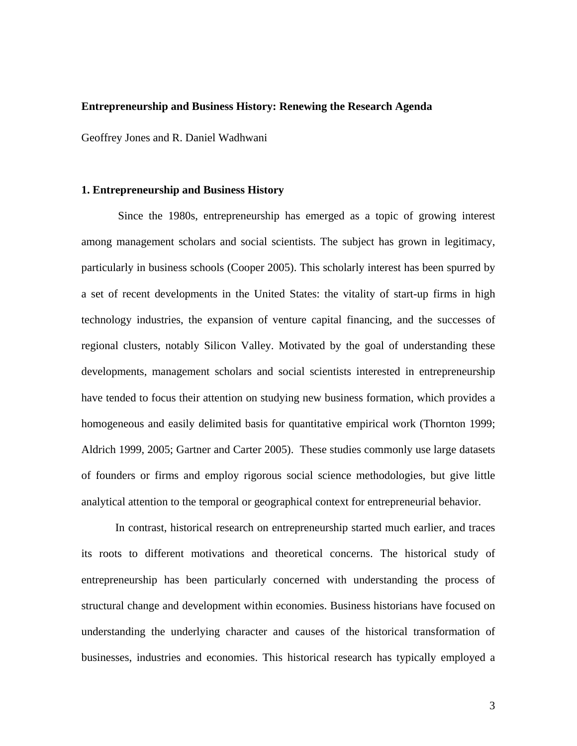Geoffrey Jones and R. Daniel Wadhwani

#### **1. Entrepreneurship and Business History**

 Since the 1980s, entrepreneurship has emerged as a topic of growing interest among management scholars and social scientists. The subject has grown in legitimacy, particularly in business schools (Cooper 2005). This scholarly interest has been spurred by a set of recent developments in the United States: the vitality of start-up firms in high technology industries, the expansion of venture capital financing, and the successes of regional clusters, notably Silicon Valley. Motivated by the goal of understanding these developments, management scholars and social scientists interested in entrepreneurship have tended to focus their attention on studying new business formation, which provides a homogeneous and easily delimited basis for quantitative empirical work (Thornton 1999; Aldrich 1999, 2005; Gartner and Carter 2005). These studies commonly use large datasets of founders or firms and employ rigorous social science methodologies, but give little analytical attention to the temporal or geographical context for entrepreneurial behavior.

In contrast, historical research on entrepreneurship started much earlier, and traces its roots to different motivations and theoretical concerns. The historical study of entrepreneurship has been particularly concerned with understanding the process of structural change and development within economies. Business historians have focused on understanding the underlying character and causes of the historical transformation of businesses, industries and economies. This historical research has typically employed a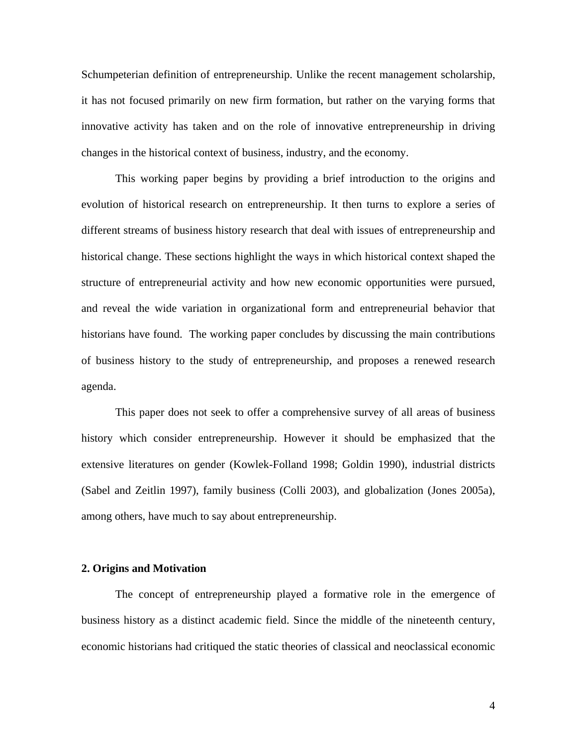Schumpeterian definition of entrepreneurship. Unlike the recent management scholarship, it has not focused primarily on new firm formation, but rather on the varying forms that innovative activity has taken and on the role of innovative entrepreneurship in driving changes in the historical context of business, industry, and the economy.

This working paper begins by providing a brief introduction to the origins and evolution of historical research on entrepreneurship. It then turns to explore a series of different streams of business history research that deal with issues of entrepreneurship and historical change. These sections highlight the ways in which historical context shaped the structure of entrepreneurial activity and how new economic opportunities were pursued, and reveal the wide variation in organizational form and entrepreneurial behavior that historians have found. The working paper concludes by discussing the main contributions of business history to the study of entrepreneurship, and proposes a renewed research agenda.

This paper does not seek to offer a comprehensive survey of all areas of business history which consider entrepreneurship. However it should be emphasized that the extensive literatures on gender (Kowlek-Folland 1998; Goldin 1990), industrial districts (Sabel and Zeitlin 1997), family business (Colli 2003), and globalization (Jones 2005a), among others, have much to say about entrepreneurship.

### **2. Origins and Motivation**

 The concept of entrepreneurship played a formative role in the emergence of business history as a distinct academic field. Since the middle of the nineteenth century, economic historians had critiqued the static theories of classical and neoclassical economic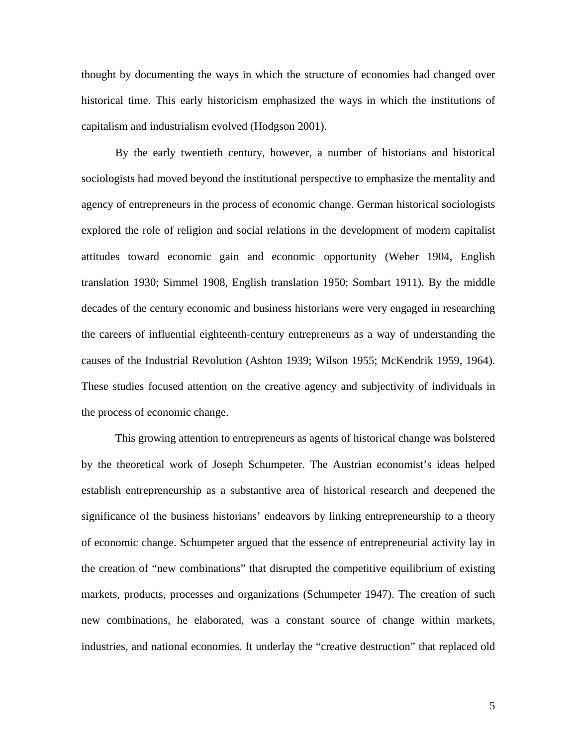thought by documenting the ways in which the structure of economies had changed over historical time. This early historicism emphasized the ways in which the institutions of capitalism and industrialism evolved (Hodgson 2001).

By the early twentieth century, however, a number of historians and historical sociologists had moved beyond the institutional perspective to emphasize the mentality and agency of entrepreneurs in the process of economic change. German historical sociologists explored the role of religion and social relations in the development of modern capitalist attitudes toward economic gain and economic opportunity (Weber 1904, English translation 1930; Simmel 1908, English translation 1950; Sombart 1911). By the middle decades of the century economic and business historians were very engaged in researching the careers of influential eighteenth-century entrepreneurs as a way of understanding the causes of the Industrial Revolution (Ashton 1939; Wilson 1955; McKendrik 1959, 1964). These studies focused attention on the creative agency and subjectivity of individuals in the process of economic change.

This growing attention to entrepreneurs as agents of historical change was bolstered by the theoretical work of Joseph Schumpeter. The Austrian economist's ideas helped establish entrepreneurship as a substantive area of historical research and deepened the significance of the business historians' endeavors by linking entrepreneurship to a theory of economic change. Schumpeter argued that the essence of entrepreneurial activity lay in the creation of "new combinations" that disrupted the competitive equilibrium of existing markets, products, processes and organizations (Schumpeter 1947). The creation of such new combinations, he elaborated, was a constant source of change within markets, industries, and national economies. It underlay the "creative destruction" that replaced old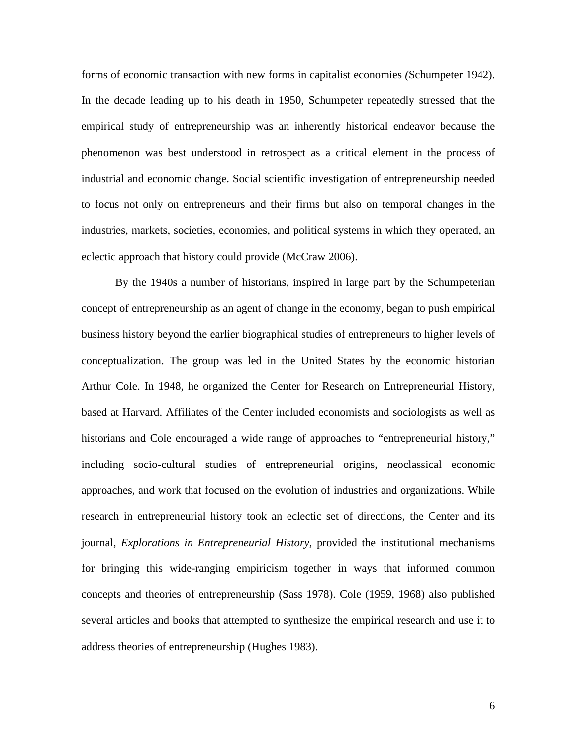forms of economic transaction with new forms in capitalist economies *(*Schumpeter 1942). In the decade leading up to his death in 1950, Schumpeter repeatedly stressed that the empirical study of entrepreneurship was an inherently historical endeavor because the phenomenon was best understood in retrospect as a critical element in the process of industrial and economic change. Social scientific investigation of entrepreneurship needed to focus not only on entrepreneurs and their firms but also on temporal changes in the industries, markets, societies, economies, and political systems in which they operated, an eclectic approach that history could provide (McCraw 2006).

By the 1940s a number of historians, inspired in large part by the Schumpeterian concept of entrepreneurship as an agent of change in the economy, began to push empirical business history beyond the earlier biographical studies of entrepreneurs to higher levels of conceptualization. The group was led in the United States by the economic historian Arthur Cole. In 1948, he organized the Center for Research on Entrepreneurial History, based at Harvard. Affiliates of the Center included economists and sociologists as well as historians and Cole encouraged a wide range of approaches to "entrepreneurial history," including socio-cultural studies of entrepreneurial origins, neoclassical economic approaches, and work that focused on the evolution of industries and organizations. While research in entrepreneurial history took an eclectic set of directions, the Center and its journal, *Explorations in Entrepreneurial History*, provided the institutional mechanisms for bringing this wide-ranging empiricism together in ways that informed common concepts and theories of entrepreneurship (Sass 1978). Cole (1959, 1968) also published several articles and books that attempted to synthesize the empirical research and use it to address theories of entrepreneurship (Hughes 1983).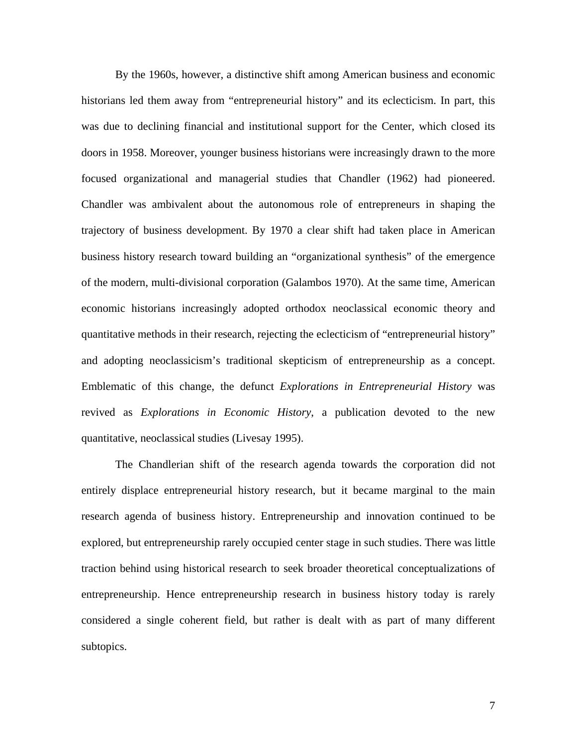By the 1960s, however, a distinctive shift among American business and economic historians led them away from "entrepreneurial history" and its eclecticism. In part, this was due to declining financial and institutional support for the Center, which closed its doors in 1958. Moreover, younger business historians were increasingly drawn to the more focused organizational and managerial studies that Chandler (1962) had pioneered. Chandler was ambivalent about the autonomous role of entrepreneurs in shaping the trajectory of business development. By 1970 a clear shift had taken place in American business history research toward building an "organizational synthesis" of the emergence of the modern, multi-divisional corporation (Galambos 1970). At the same time, American economic historians increasingly adopted orthodox neoclassical economic theory and quantitative methods in their research, rejecting the eclecticism of "entrepreneurial history" and adopting neoclassicism's traditional skepticism of entrepreneurship as a concept. Emblematic of this change, the defunct *Explorations in Entrepreneurial History* was revived as *Explorations in Economic History*, a publication devoted to the new quantitative, neoclassical studies (Livesay 1995).

The Chandlerian shift of the research agenda towards the corporation did not entirely displace entrepreneurial history research, but it became marginal to the main research agenda of business history. Entrepreneurship and innovation continued to be explored, but entrepreneurship rarely occupied center stage in such studies. There was little traction behind using historical research to seek broader theoretical conceptualizations of entrepreneurship. Hence entrepreneurship research in business history today is rarely considered a single coherent field, but rather is dealt with as part of many different subtopics.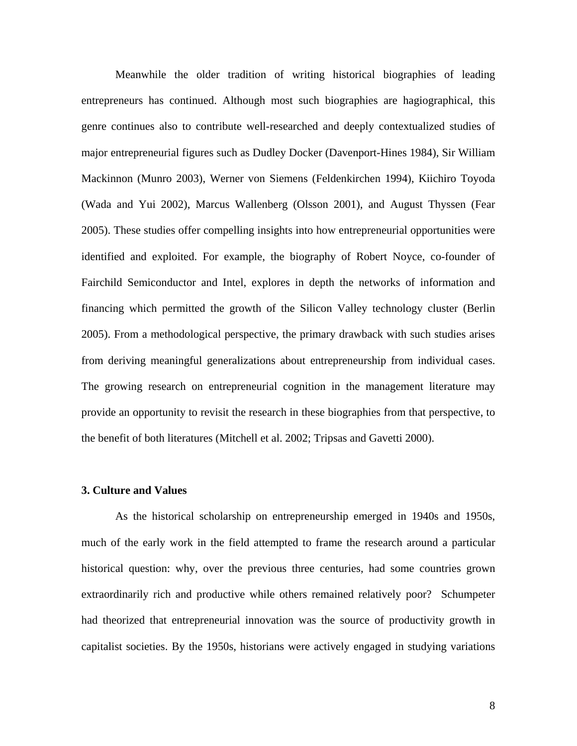Meanwhile the older tradition of writing historical biographies of leading entrepreneurs has continued. Although most such biographies are hagiographical, this genre continues also to contribute well-researched and deeply contextualized studies of major entrepreneurial figures such as Dudley Docker (Davenport-Hines 1984), Sir William Mackinnon (Munro 2003), Werner von Siemens (Feldenkirchen 1994), Kiichiro Toyoda (Wada and Yui 2002), Marcus Wallenberg (Olsson 2001), and August Thyssen (Fear 2005). These studies offer compelling insights into how entrepreneurial opportunities were identified and exploited. For example, the biography of Robert Noyce, co-founder of Fairchild Semiconductor and Intel, explores in depth the networks of information and financing which permitted the growth of the Silicon Valley technology cluster (Berlin 2005). From a methodological perspective, the primary drawback with such studies arises from deriving meaningful generalizations about entrepreneurship from individual cases. The growing research on entrepreneurial cognition in the management literature may provide an opportunity to revisit the research in these biographies from that perspective, to the benefit of both literatures (Mitchell et al. 2002; Tripsas and Gavetti 2000).

## **3. Culture and Values**

As the historical scholarship on entrepreneurship emerged in 1940s and 1950s, much of the early work in the field attempted to frame the research around a particular historical question: why, over the previous three centuries, had some countries grown extraordinarily rich and productive while others remained relatively poor? Schumpeter had theorized that entrepreneurial innovation was the source of productivity growth in capitalist societies. By the 1950s, historians were actively engaged in studying variations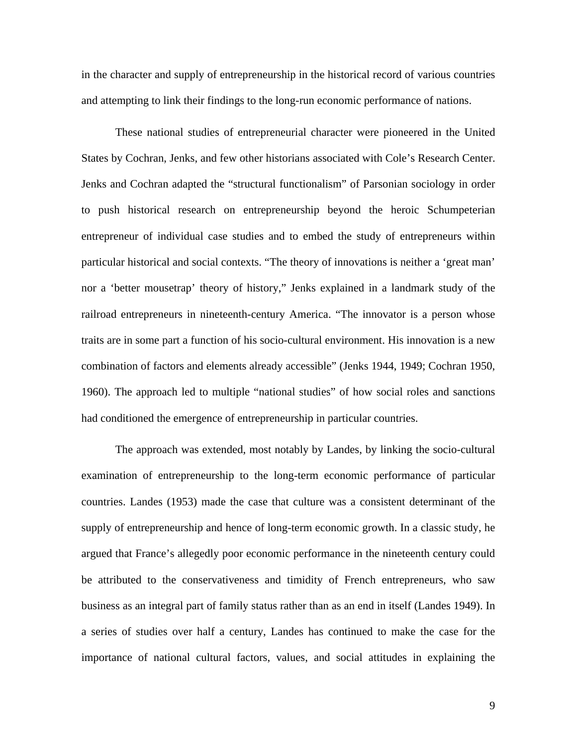in the character and supply of entrepreneurship in the historical record of various countries and attempting to link their findings to the long-run economic performance of nations.

These national studies of entrepreneurial character were pioneered in the United States by Cochran, Jenks, and few other historians associated with Cole's Research Center. Jenks and Cochran adapted the "structural functionalism" of Parsonian sociology in order to push historical research on entrepreneurship beyond the heroic Schumpeterian entrepreneur of individual case studies and to embed the study of entrepreneurs within particular historical and social contexts. "The theory of innovations is neither a 'great man' nor a 'better mousetrap' theory of history," Jenks explained in a landmark study of the railroad entrepreneurs in nineteenth-century America. "The innovator is a person whose traits are in some part a function of his socio-cultural environment. His innovation is a new combination of factors and elements already accessible" (Jenks 1944, 1949; Cochran 1950, 1960). The approach led to multiple "national studies" of how social roles and sanctions had conditioned the emergence of entrepreneurship in particular countries.

The approach was extended, most notably by Landes, by linking the socio-cultural examination of entrepreneurship to the long-term economic performance of particular countries. Landes (1953) made the case that culture was a consistent determinant of the supply of entrepreneurship and hence of long-term economic growth. In a classic study, he argued that France's allegedly poor economic performance in the nineteenth century could be attributed to the conservativeness and timidity of French entrepreneurs, who saw business as an integral part of family status rather than as an end in itself (Landes 1949). In a series of studies over half a century, Landes has continued to make the case for the importance of national cultural factors, values, and social attitudes in explaining the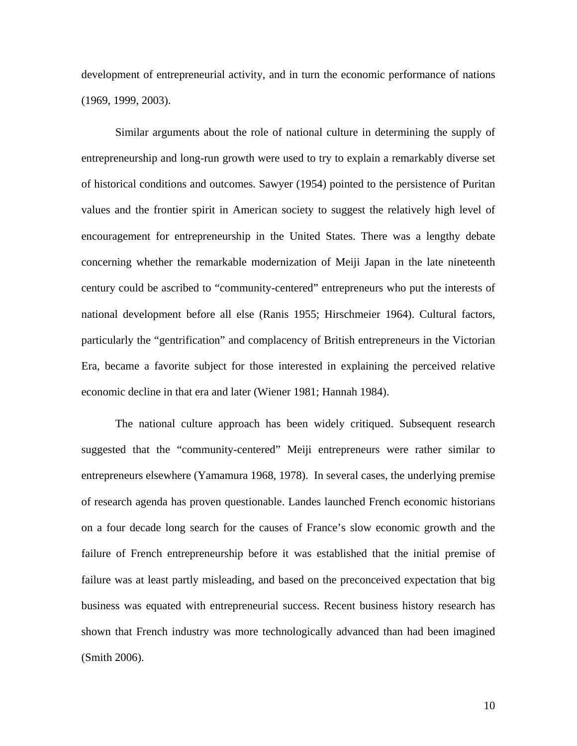development of entrepreneurial activity, and in turn the economic performance of nations (1969, 1999, 2003).

Similar arguments about the role of national culture in determining the supply of entrepreneurship and long-run growth were used to try to explain a remarkably diverse set of historical conditions and outcomes. Sawyer (1954) pointed to the persistence of Puritan values and the frontier spirit in American society to suggest the relatively high level of encouragement for entrepreneurship in the United States. There was a lengthy debate concerning whether the remarkable modernization of Meiji Japan in the late nineteenth century could be ascribed to "community-centered" entrepreneurs who put the interests of national development before all else (Ranis 1955; Hirschmeier 1964). Cultural factors, particularly the "gentrification" and complacency of British entrepreneurs in the Victorian Era, became a favorite subject for those interested in explaining the perceived relative economic decline in that era and later (Wiener 1981; Hannah 1984).

The national culture approach has been widely critiqued. Subsequent research suggested that the "community-centered" Meiji entrepreneurs were rather similar to entrepreneurs elsewhere (Yamamura 1968, 1978). In several cases, the underlying premise of research agenda has proven questionable. Landes launched French economic historians on a four decade long search for the causes of France's slow economic growth and the failure of French entrepreneurship before it was established that the initial premise of failure was at least partly misleading, and based on the preconceived expectation that big business was equated with entrepreneurial success. Recent business history research has shown that French industry was more technologically advanced than had been imagined (Smith 2006).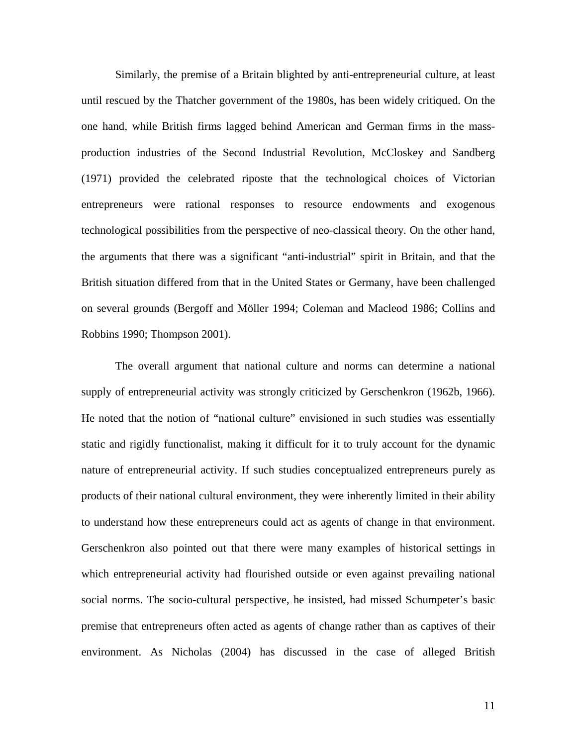Similarly, the premise of a Britain blighted by anti-entrepreneurial culture, at least until rescued by the Thatcher government of the 1980s, has been widely critiqued. On the one hand, while British firms lagged behind American and German firms in the massproduction industries of the Second Industrial Revolution, McCloskey and Sandberg (1971) provided the celebrated riposte that the technological choices of Victorian entrepreneurs were rational responses to resource endowments and exogenous technological possibilities from the perspective of neo-classical theory. On the other hand, the arguments that there was a significant "anti-industrial" spirit in Britain, and that the British situation differed from that in the United States or Germany, have been challenged on several grounds (Bergoff and Möller 1994; Coleman and Macleod 1986; Collins and Robbins 1990; Thompson 2001).

The overall argument that national culture and norms can determine a national supply of entrepreneurial activity was strongly criticized by Gerschenkron (1962b, 1966). He noted that the notion of "national culture" envisioned in such studies was essentially static and rigidly functionalist, making it difficult for it to truly account for the dynamic nature of entrepreneurial activity. If such studies conceptualized entrepreneurs purely as products of their national cultural environment, they were inherently limited in their ability to understand how these entrepreneurs could act as agents of change in that environment. Gerschenkron also pointed out that there were many examples of historical settings in which entrepreneurial activity had flourished outside or even against prevailing national social norms. The socio-cultural perspective, he insisted, had missed Schumpeter's basic premise that entrepreneurs often acted as agents of change rather than as captives of their environment. As Nicholas (2004) has discussed in the case of alleged British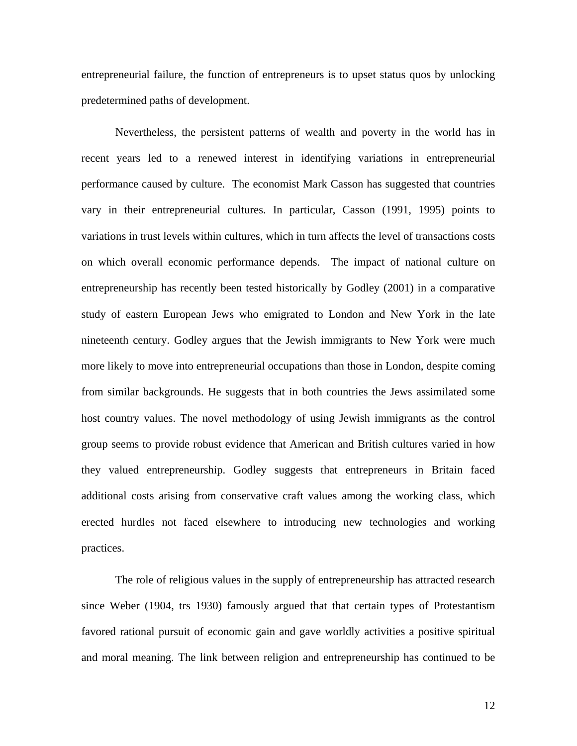entrepreneurial failure, the function of entrepreneurs is to upset status quos by unlocking predetermined paths of development.

Nevertheless, the persistent patterns of wealth and poverty in the world has in recent years led to a renewed interest in identifying variations in entrepreneurial performance caused by culture. The economist Mark Casson has suggested that countries vary in their entrepreneurial cultures. In particular, Casson (1991, 1995) points to variations in trust levels within cultures, which in turn affects the level of transactions costs on which overall economic performance depends. The impact of national culture on entrepreneurship has recently been tested historically by Godley (2001) in a comparative study of eastern European Jews who emigrated to London and New York in the late nineteenth century. Godley argues that the Jewish immigrants to New York were much more likely to move into entrepreneurial occupations than those in London, despite coming from similar backgrounds. He suggests that in both countries the Jews assimilated some host country values. The novel methodology of using Jewish immigrants as the control group seems to provide robust evidence that American and British cultures varied in how they valued entrepreneurship. Godley suggests that entrepreneurs in Britain faced additional costs arising from conservative craft values among the working class, which erected hurdles not faced elsewhere to introducing new technologies and working practices.

The role of religious values in the supply of entrepreneurship has attracted research since Weber (1904, trs 1930) famously argued that that certain types of Protestantism favored rational pursuit of economic gain and gave worldly activities a positive spiritual and moral meaning. The link between religion and entrepreneurship has continued to be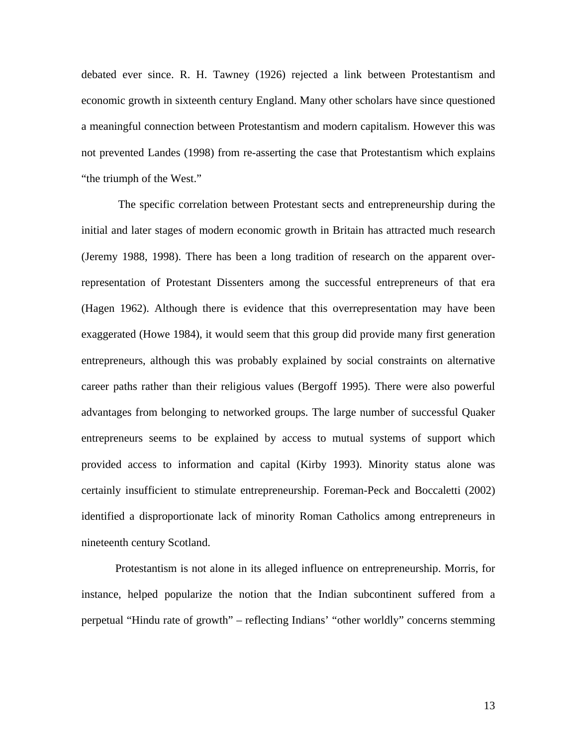debated ever since. R. H. Tawney (1926) rejected a link between Protestantism and economic growth in sixteenth century England. Many other scholars have since questioned a meaningful connection between Protestantism and modern capitalism. However this was not prevented Landes (1998) from re-asserting the case that Protestantism which explains "the triumph of the West."

 The specific correlation between Protestant sects and entrepreneurship during the initial and later stages of modern economic growth in Britain has attracted much research (Jeremy 1988, 1998). There has been a long tradition of research on the apparent overrepresentation of Protestant Dissenters among the successful entrepreneurs of that era (Hagen 1962). Although there is evidence that this overrepresentation may have been exaggerated (Howe 1984), it would seem that this group did provide many first generation entrepreneurs, although this was probably explained by social constraints on alternative career paths rather than their religious values (Bergoff 1995). There were also powerful advantages from belonging to networked groups. The large number of successful Quaker entrepreneurs seems to be explained by access to mutual systems of support which provided access to information and capital (Kirby 1993). Minority status alone was certainly insufficient to stimulate entrepreneurship. Foreman-Peck and Boccaletti (2002) identified a disproportionate lack of minority Roman Catholics among entrepreneurs in nineteenth century Scotland.

Protestantism is not alone in its alleged influence on entrepreneurship. Morris, for instance, helped popularize the notion that the Indian subcontinent suffered from a perpetual "Hindu rate of growth" – reflecting Indians' "other worldly" concerns stemming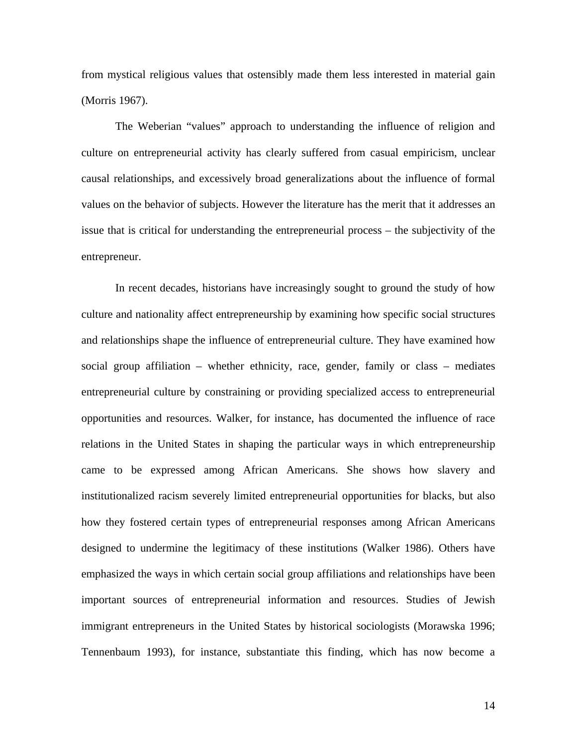from mystical religious values that ostensibly made them less interested in material gain (Morris 1967).

The Weberian "values" approach to understanding the influence of religion and culture on entrepreneurial activity has clearly suffered from casual empiricism, unclear causal relationships, and excessively broad generalizations about the influence of formal values on the behavior of subjects. However the literature has the merit that it addresses an issue that is critical for understanding the entrepreneurial process – the subjectivity of the entrepreneur.

In recent decades, historians have increasingly sought to ground the study of how culture and nationality affect entrepreneurship by examining how specific social structures and relationships shape the influence of entrepreneurial culture. They have examined how social group affiliation – whether ethnicity, race, gender, family or class – mediates entrepreneurial culture by constraining or providing specialized access to entrepreneurial opportunities and resources. Walker, for instance, has documented the influence of race relations in the United States in shaping the particular ways in which entrepreneurship came to be expressed among African Americans. She shows how slavery and institutionalized racism severely limited entrepreneurial opportunities for blacks, but also how they fostered certain types of entrepreneurial responses among African Americans designed to undermine the legitimacy of these institutions (Walker 1986). Others have emphasized the ways in which certain social group affiliations and relationships have been important sources of entrepreneurial information and resources. Studies of Jewish immigrant entrepreneurs in the United States by historical sociologists (Morawska 1996; Tennenbaum 1993), for instance, substantiate this finding, which has now become a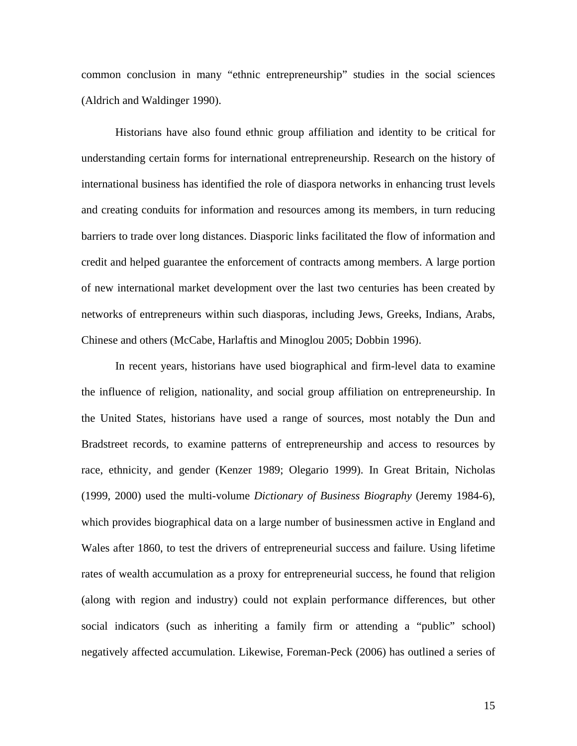common conclusion in many "ethnic entrepreneurship" studies in the social sciences (Aldrich and Waldinger 1990).

Historians have also found ethnic group affiliation and identity to be critical for understanding certain forms for international entrepreneurship. Research on the history of international business has identified the role of diaspora networks in enhancing trust levels and creating conduits for information and resources among its members, in turn reducing barriers to trade over long distances. Diasporic links facilitated the flow of information and credit and helped guarantee the enforcement of contracts among members. A large portion of new international market development over the last two centuries has been created by networks of entrepreneurs within such diasporas, including Jews, Greeks, Indians, Arabs, Chinese and others (McCabe, Harlaftis and Minoglou 2005; Dobbin 1996).

In recent years, historians have used biographical and firm-level data to examine the influence of religion, nationality, and social group affiliation on entrepreneurship. In the United States, historians have used a range of sources, most notably the Dun and Bradstreet records, to examine patterns of entrepreneurship and access to resources by race, ethnicity, and gender (Kenzer 1989; Olegario 1999). In Great Britain, Nicholas (1999, 2000) used the multi-volume *Dictionary of Business Biography* (Jeremy 1984-6), which provides biographical data on a large number of businessmen active in England and Wales after 1860, to test the drivers of entrepreneurial success and failure. Using lifetime rates of wealth accumulation as a proxy for entrepreneurial success, he found that religion (along with region and industry) could not explain performance differences, but other social indicators (such as inheriting a family firm or attending a "public" school) negatively affected accumulation. Likewise, Foreman-Peck (2006) has outlined a series of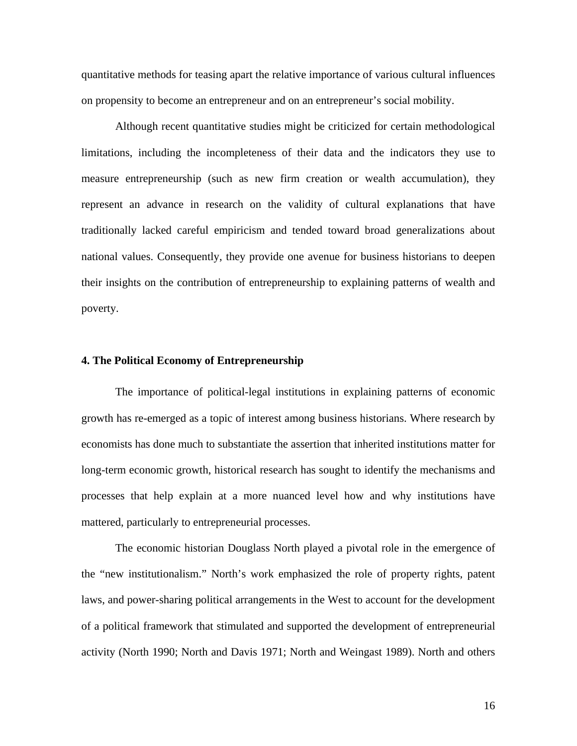quantitative methods for teasing apart the relative importance of various cultural influences on propensity to become an entrepreneur and on an entrepreneur's social mobility.

Although recent quantitative studies might be criticized for certain methodological limitations, including the incompleteness of their data and the indicators they use to measure entrepreneurship (such as new firm creation or wealth accumulation), they represent an advance in research on the validity of cultural explanations that have traditionally lacked careful empiricism and tended toward broad generalizations about national values. Consequently, they provide one avenue for business historians to deepen their insights on the contribution of entrepreneurship to explaining patterns of wealth and poverty.

#### **4. The Political Economy of Entrepreneurship**

The importance of political-legal institutions in explaining patterns of economic growth has re-emerged as a topic of interest among business historians. Where research by economists has done much to substantiate the assertion that inherited institutions matter for long-term economic growth, historical research has sought to identify the mechanisms and processes that help explain at a more nuanced level how and why institutions have mattered, particularly to entrepreneurial processes.

The economic historian Douglass North played a pivotal role in the emergence of the "new institutionalism." North's work emphasized the role of property rights, patent laws, and power-sharing political arrangements in the West to account for the development of a political framework that stimulated and supported the development of entrepreneurial activity (North 1990; North and Davis 1971; North and Weingast 1989). North and others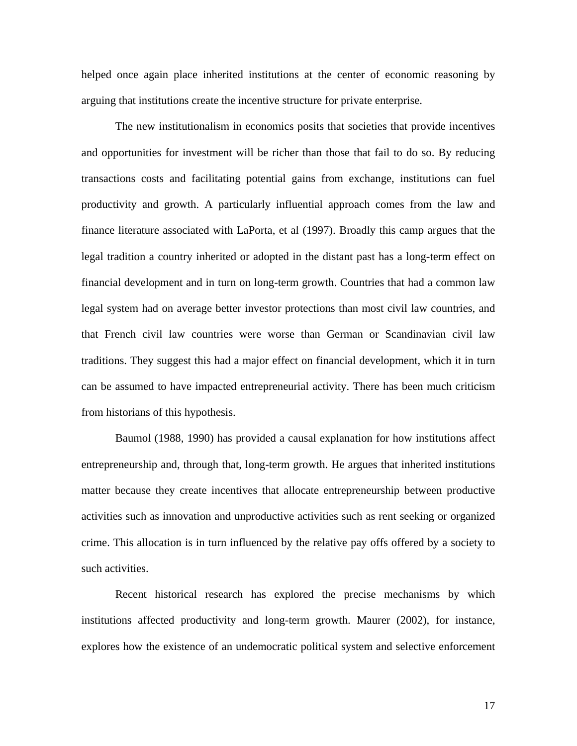helped once again place inherited institutions at the center of economic reasoning by arguing that institutions create the incentive structure for private enterprise.

The new institutionalism in economics posits that societies that provide incentives and opportunities for investment will be richer than those that fail to do so. By reducing transactions costs and facilitating potential gains from exchange, institutions can fuel productivity and growth. A particularly influential approach comes from the law and finance literature associated with LaPorta, et al (1997). Broadly this camp argues that the legal tradition a country inherited or adopted in the distant past has a long-term effect on financial development and in turn on long-term growth. Countries that had a common law legal system had on average better investor protections than most civil law countries, and that French civil law countries were worse than German or Scandinavian civil law traditions. They suggest this had a major effect on financial development, which it in turn can be assumed to have impacted entrepreneurial activity. There has been much criticism from historians of this hypothesis.

Baumol (1988, 1990) has provided a causal explanation for how institutions affect entrepreneurship and, through that, long-term growth. He argues that inherited institutions matter because they create incentives that allocate entrepreneurship between productive activities such as innovation and unproductive activities such as rent seeking or organized crime. This allocation is in turn influenced by the relative pay offs offered by a society to such activities.

Recent historical research has explored the precise mechanisms by which institutions affected productivity and long-term growth. Maurer (2002), for instance, explores how the existence of an undemocratic political system and selective enforcement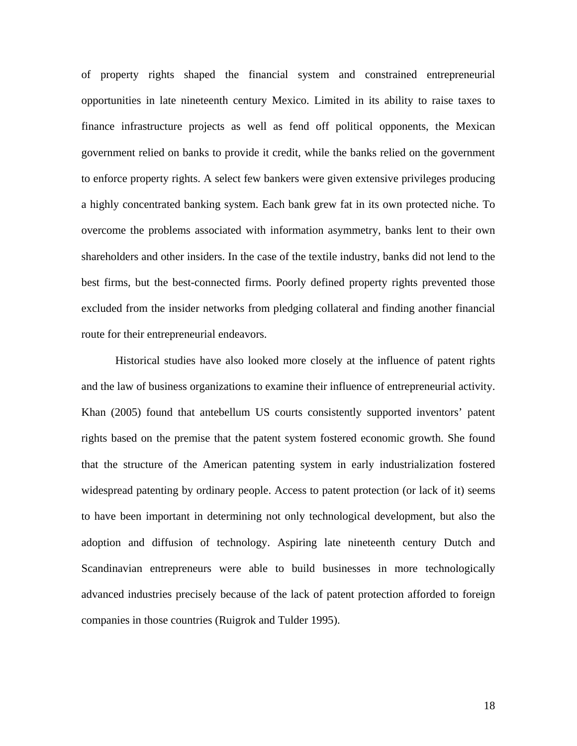of property rights shaped the financial system and constrained entrepreneurial opportunities in late nineteenth century Mexico. Limited in its ability to raise taxes to finance infrastructure projects as well as fend off political opponents, the Mexican government relied on banks to provide it credit, while the banks relied on the government to enforce property rights. A select few bankers were given extensive privileges producing a highly concentrated banking system. Each bank grew fat in its own protected niche. To overcome the problems associated with information asymmetry, banks lent to their own shareholders and other insiders. In the case of the textile industry, banks did not lend to the best firms, but the best-connected firms. Poorly defined property rights prevented those excluded from the insider networks from pledging collateral and finding another financial route for their entrepreneurial endeavors.

Historical studies have also looked more closely at the influence of patent rights and the law of business organizations to examine their influence of entrepreneurial activity. Khan (2005) found that antebellum US courts consistently supported inventors' patent rights based on the premise that the patent system fostered economic growth. She found that the structure of the American patenting system in early industrialization fostered widespread patenting by ordinary people. Access to patent protection (or lack of it) seems to have been important in determining not only technological development, but also the adoption and diffusion of technology. Aspiring late nineteenth century Dutch and Scandinavian entrepreneurs were able to build businesses in more technologically advanced industries precisely because of the lack of patent protection afforded to foreign companies in those countries (Ruigrok and Tulder 1995).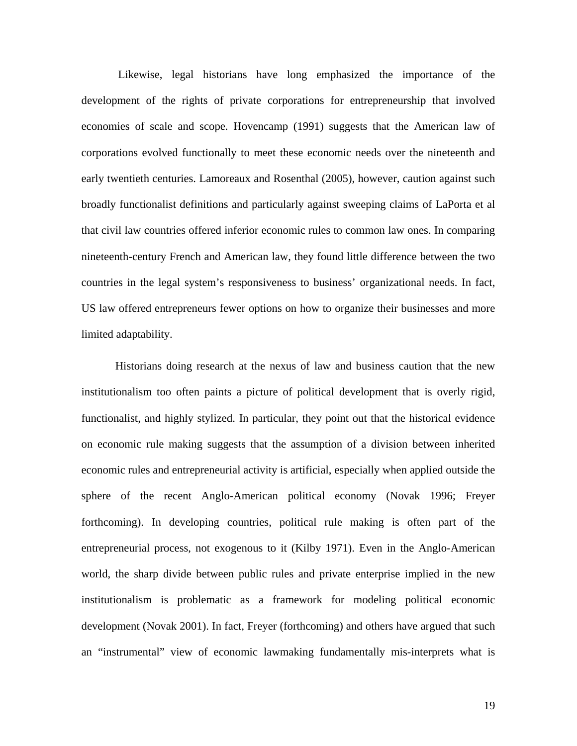Likewise, legal historians have long emphasized the importance of the development of the rights of private corporations for entrepreneurship that involved economies of scale and scope. Hovencamp (1991) suggests that the American law of corporations evolved functionally to meet these economic needs over the nineteenth and early twentieth centuries. Lamoreaux and Rosenthal (2005), however, caution against such broadly functionalist definitions and particularly against sweeping claims of LaPorta et al that civil law countries offered inferior economic rules to common law ones. In comparing nineteenth-century French and American law, they found little difference between the two countries in the legal system's responsiveness to business' organizational needs. In fact, US law offered entrepreneurs fewer options on how to organize their businesses and more limited adaptability.

Historians doing research at the nexus of law and business caution that the new institutionalism too often paints a picture of political development that is overly rigid, functionalist, and highly stylized. In particular, they point out that the historical evidence on economic rule making suggests that the assumption of a division between inherited economic rules and entrepreneurial activity is artificial, especially when applied outside the sphere of the recent Anglo-American political economy (Novak 1996; Freyer forthcoming). In developing countries, political rule making is often part of the entrepreneurial process, not exogenous to it (Kilby 1971). Even in the Anglo-American world, the sharp divide between public rules and private enterprise implied in the new institutionalism is problematic as a framework for modeling political economic development (Novak 2001). In fact, Freyer (forthcoming) and others have argued that such an "instrumental" view of economic lawmaking fundamentally mis-interprets what is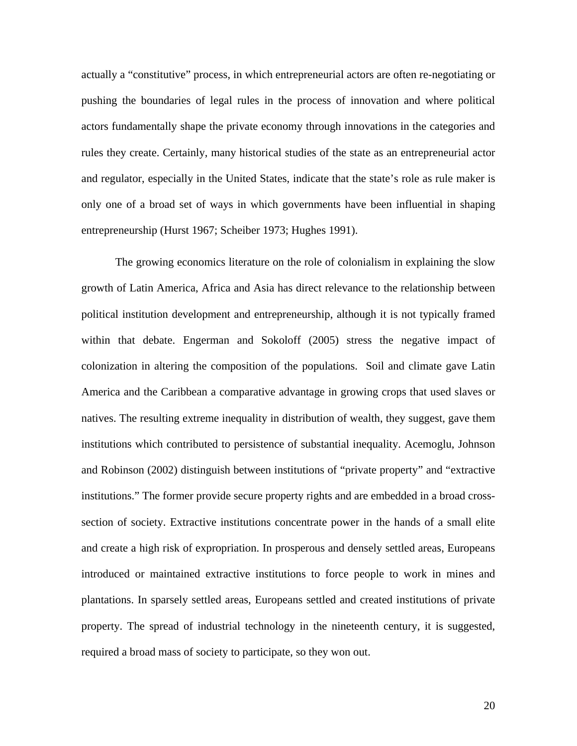actually a "constitutive" process, in which entrepreneurial actors are often re-negotiating or pushing the boundaries of legal rules in the process of innovation and where political actors fundamentally shape the private economy through innovations in the categories and rules they create. Certainly, many historical studies of the state as an entrepreneurial actor and regulator, especially in the United States, indicate that the state's role as rule maker is only one of a broad set of ways in which governments have been influential in shaping entrepreneurship (Hurst 1967; Scheiber 1973; Hughes 1991).

The growing economics literature on the role of colonialism in explaining the slow growth of Latin America, Africa and Asia has direct relevance to the relationship between political institution development and entrepreneurship, although it is not typically framed within that debate. Engerman and Sokoloff (2005) stress the negative impact of colonization in altering the composition of the populations. Soil and climate gave Latin America and the Caribbean a comparative advantage in growing crops that used slaves or natives. The resulting extreme inequality in distribution of wealth, they suggest, gave them institutions which contributed to persistence of substantial inequality. Acemoglu, Johnson and Robinson (2002) distinguish between institutions of "private property" and "extractive institutions." The former provide secure property rights and are embedded in a broad crosssection of society. Extractive institutions concentrate power in the hands of a small elite and create a high risk of expropriation. In prosperous and densely settled areas, Europeans introduced or maintained extractive institutions to force people to work in mines and plantations. In sparsely settled areas, Europeans settled and created institutions of private property. The spread of industrial technology in the nineteenth century, it is suggested, required a broad mass of society to participate, so they won out.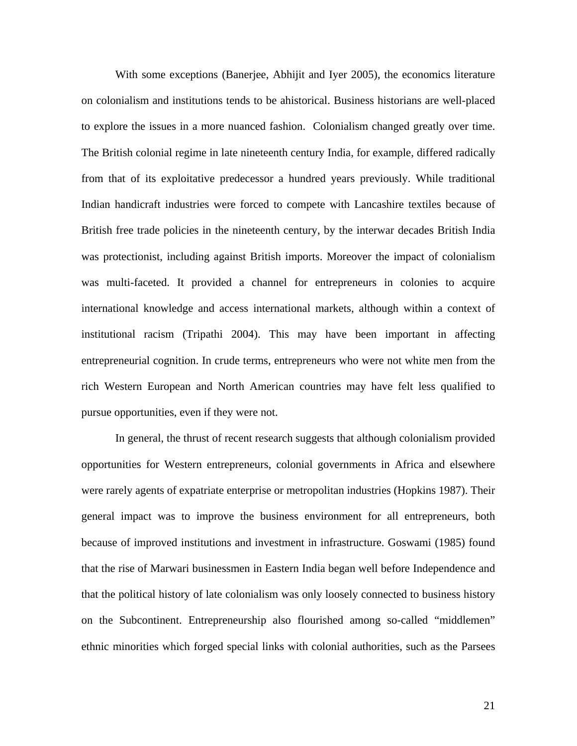With some exceptions (Banerjee, Abhijit and Iyer 2005), the economics literature on colonialism and institutions tends to be ahistorical. Business historians are well-placed to explore the issues in a more nuanced fashion. Colonialism changed greatly over time. The British colonial regime in late nineteenth century India, for example, differed radically from that of its exploitative predecessor a hundred years previously. While traditional Indian handicraft industries were forced to compete with Lancashire textiles because of British free trade policies in the nineteenth century, by the interwar decades British India was protectionist, including against British imports. Moreover the impact of colonialism was multi-faceted. It provided a channel for entrepreneurs in colonies to acquire international knowledge and access international markets, although within a context of institutional racism (Tripathi 2004). This may have been important in affecting entrepreneurial cognition. In crude terms, entrepreneurs who were not white men from the rich Western European and North American countries may have felt less qualified to pursue opportunities, even if they were not.

In general, the thrust of recent research suggests that although colonialism provided opportunities for Western entrepreneurs, colonial governments in Africa and elsewhere were rarely agents of expatriate enterprise or metropolitan industries (Hopkins 1987). Their general impact was to improve the business environment for all entrepreneurs, both because of improved institutions and investment in infrastructure. Goswami (1985) found that the rise of Marwari businessmen in Eastern India began well before Independence and that the political history of late colonialism was only loosely connected to business history on the Subcontinent. Entrepreneurship also flourished among so-called "middlemen" ethnic minorities which forged special links with colonial authorities, such as the Parsees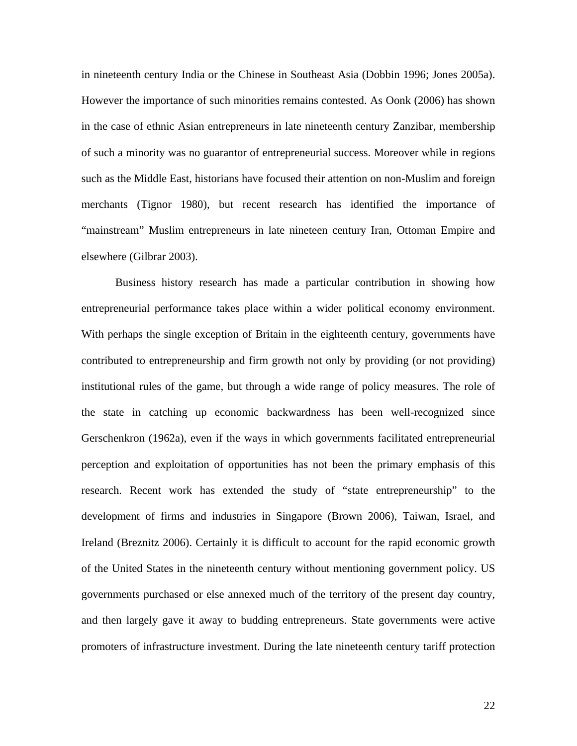in nineteenth century India or the Chinese in Southeast Asia (Dobbin 1996; Jones 2005a). However the importance of such minorities remains contested. As Oonk (2006) has shown in the case of ethnic Asian entrepreneurs in late nineteenth century Zanzibar, membership of such a minority was no guarantor of entrepreneurial success. Moreover while in regions such as the Middle East, historians have focused their attention on non-Muslim and foreign merchants (Tignor 1980), but recent research has identified the importance of "mainstream" Muslim entrepreneurs in late nineteen century Iran, Ottoman Empire and elsewhere (Gilbrar 2003).

Business history research has made a particular contribution in showing how entrepreneurial performance takes place within a wider political economy environment. With perhaps the single exception of Britain in the eighteenth century, governments have contributed to entrepreneurship and firm growth not only by providing (or not providing) institutional rules of the game, but through a wide range of policy measures. The role of the state in catching up economic backwardness has been well-recognized since Gerschenkron (1962a), even if the ways in which governments facilitated entrepreneurial perception and exploitation of opportunities has not been the primary emphasis of this research. Recent work has extended the study of "state entrepreneurship" to the development of firms and industries in Singapore (Brown 2006), Taiwan, Israel, and Ireland (Breznitz 2006). Certainly it is difficult to account for the rapid economic growth of the United States in the nineteenth century without mentioning government policy. US governments purchased or else annexed much of the territory of the present day country, and then largely gave it away to budding entrepreneurs. State governments were active promoters of infrastructure investment. During the late nineteenth century tariff protection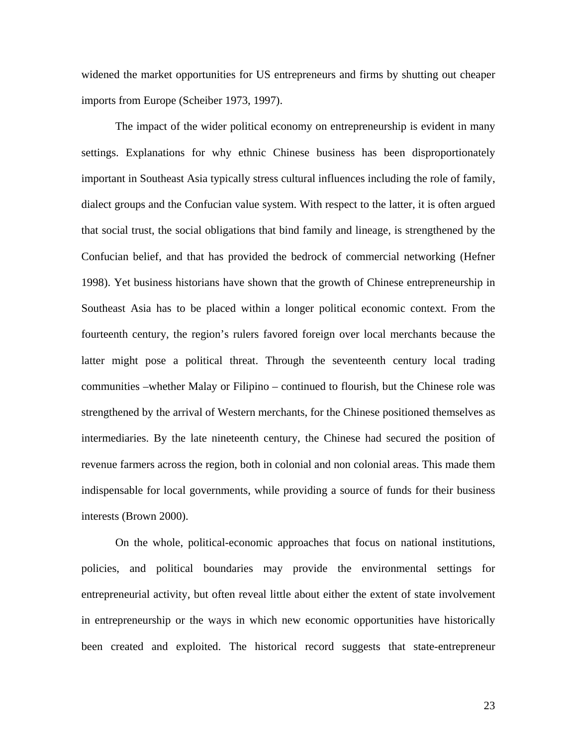widened the market opportunities for US entrepreneurs and firms by shutting out cheaper imports from Europe (Scheiber 1973, 1997).

The impact of the wider political economy on entrepreneurship is evident in many settings. Explanations for why ethnic Chinese business has been disproportionately important in Southeast Asia typically stress cultural influences including the role of family, dialect groups and the Confucian value system. With respect to the latter, it is often argued that social trust, the social obligations that bind family and lineage, is strengthened by the Confucian belief, and that has provided the bedrock of commercial networking (Hefner 1998). Yet business historians have shown that the growth of Chinese entrepreneurship in Southeast Asia has to be placed within a longer political economic context. From the fourteenth century, the region's rulers favored foreign over local merchants because the latter might pose a political threat. Through the seventeenth century local trading communities –whether Malay or Filipino – continued to flourish, but the Chinese role was strengthened by the arrival of Western merchants, for the Chinese positioned themselves as intermediaries. By the late nineteenth century, the Chinese had secured the position of revenue farmers across the region, both in colonial and non colonial areas. This made them indispensable for local governments, while providing a source of funds for their business interests (Brown 2000).

On the whole, political-economic approaches that focus on national institutions, policies, and political boundaries may provide the environmental settings for entrepreneurial activity, but often reveal little about either the extent of state involvement in entrepreneurship or the ways in which new economic opportunities have historically been created and exploited. The historical record suggests that state-entrepreneur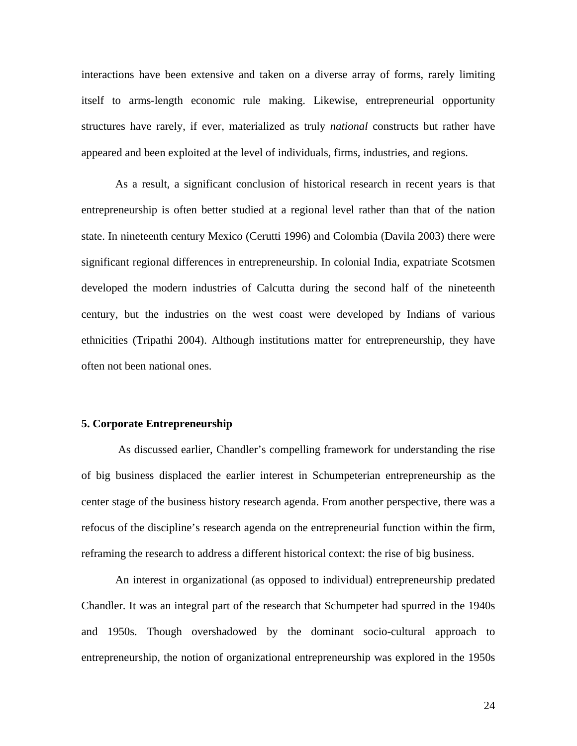interactions have been extensive and taken on a diverse array of forms, rarely limiting itself to arms-length economic rule making. Likewise, entrepreneurial opportunity structures have rarely, if ever, materialized as truly *national* constructs but rather have appeared and been exploited at the level of individuals, firms, industries, and regions.

As a result, a significant conclusion of historical research in recent years is that entrepreneurship is often better studied at a regional level rather than that of the nation state. In nineteenth century Mexico (Cerutti 1996) and Colombia (Davila 2003) there were significant regional differences in entrepreneurship. In colonial India, expatriate Scotsmen developed the modern industries of Calcutta during the second half of the nineteenth century, but the industries on the west coast were developed by Indians of various ethnicities (Tripathi 2004). Although institutions matter for entrepreneurship, they have often not been national ones.

## **5. Corporate Entrepreneurship**

 As discussed earlier, Chandler's compelling framework for understanding the rise of big business displaced the earlier interest in Schumpeterian entrepreneurship as the center stage of the business history research agenda. From another perspective, there was a refocus of the discipline's research agenda on the entrepreneurial function within the firm, reframing the research to address a different historical context: the rise of big business.

An interest in organizational (as opposed to individual) entrepreneurship predated Chandler. It was an integral part of the research that Schumpeter had spurred in the 1940s and 1950s. Though overshadowed by the dominant socio-cultural approach to entrepreneurship, the notion of organizational entrepreneurship was explored in the 1950s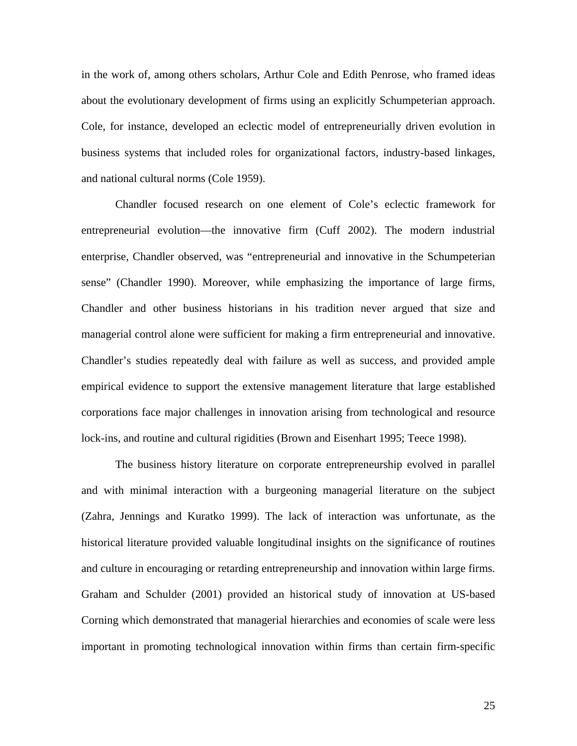in the work of, among others scholars, Arthur Cole and Edith Penrose, who framed ideas about the evolutionary development of firms using an explicitly Schumpeterian approach. Cole, for instance, developed an eclectic model of entrepreneurially driven evolution in business systems that included roles for organizational factors, industry-based linkages, and national cultural norms (Cole 1959).

Chandler focused research on one element of Cole's eclectic framework for entrepreneurial evolution—the innovative firm (Cuff 2002). The modern industrial enterprise, Chandler observed, was "entrepreneurial and innovative in the Schumpeterian sense" (Chandler 1990). Moreover, while emphasizing the importance of large firms, Chandler and other business historians in his tradition never argued that size and managerial control alone were sufficient for making a firm entrepreneurial and innovative. Chandler's studies repeatedly deal with failure as well as success, and provided ample empirical evidence to support the extensive management literature that large established corporations face major challenges in innovation arising from technological and resource lock-ins, and routine and cultural rigidities (Brown and Eisenhart 1995; Teece 1998).

The business history literature on corporate entrepreneurship evolved in parallel and with minimal interaction with a burgeoning managerial literature on the subject (Zahra, Jennings and Kuratko 1999). The lack of interaction was unfortunate, as the historical literature provided valuable longitudinal insights on the significance of routines and culture in encouraging or retarding entrepreneurship and innovation within large firms. Graham and Schulder (2001) provided an historical study of innovation at US-based Corning which demonstrated that managerial hierarchies and economies of scale were less important in promoting technological innovation within firms than certain firm-specific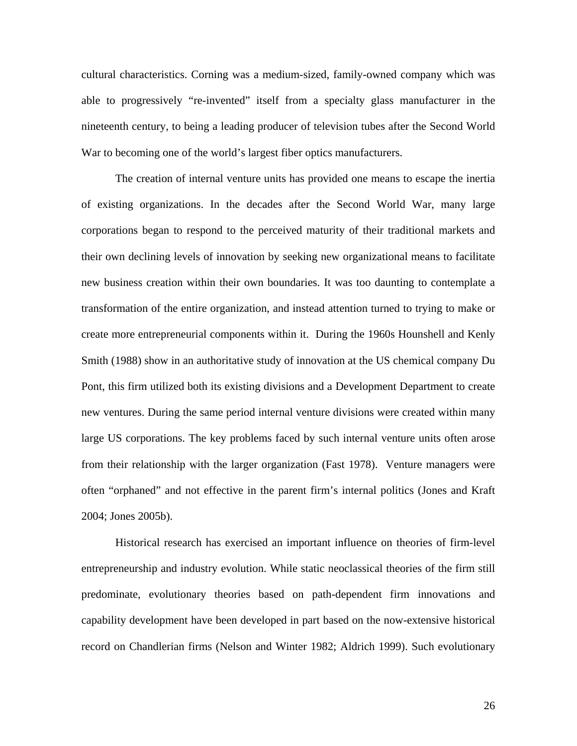cultural characteristics. Corning was a medium-sized, family-owned company which was able to progressively "re-invented" itself from a specialty glass manufacturer in the nineteenth century, to being a leading producer of television tubes after the Second World War to becoming one of the world's largest fiber optics manufacturers.

The creation of internal venture units has provided one means to escape the inertia of existing organizations. In the decades after the Second World War, many large corporations began to respond to the perceived maturity of their traditional markets and their own declining levels of innovation by seeking new organizational means to facilitate new business creation within their own boundaries. It was too daunting to contemplate a transformation of the entire organization, and instead attention turned to trying to make or create more entrepreneurial components within it. During the 1960s Hounshell and Kenly Smith (1988) show in an authoritative study of innovation at the US chemical company Du Pont, this firm utilized both its existing divisions and a Development Department to create new ventures. During the same period internal venture divisions were created within many large US corporations. The key problems faced by such internal venture units often arose from their relationship with the larger organization (Fast 1978). Venture managers were often "orphaned" and not effective in the parent firm's internal politics (Jones and Kraft 2004; Jones 2005b).

Historical research has exercised an important influence on theories of firm-level entrepreneurship and industry evolution. While static neoclassical theories of the firm still predominate, evolutionary theories based on path-dependent firm innovations and capability development have been developed in part based on the now-extensive historical record on Chandlerian firms (Nelson and Winter 1982; Aldrich 1999). Such evolutionary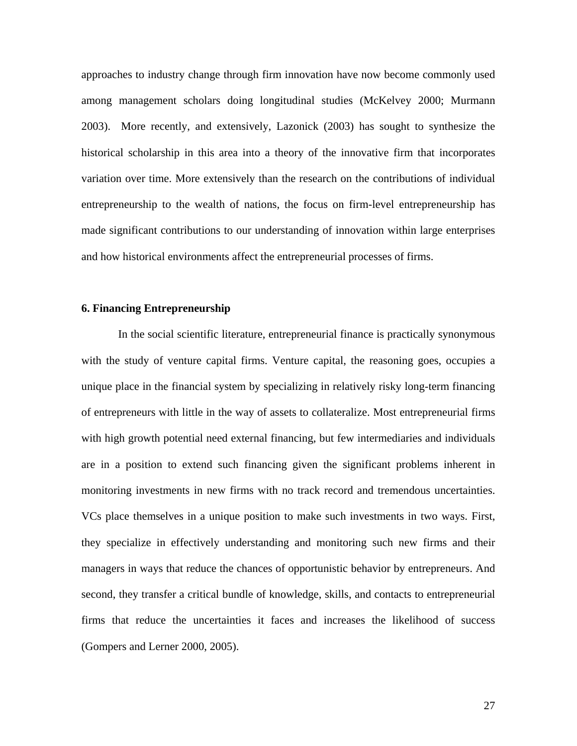approaches to industry change through firm innovation have now become commonly used among management scholars doing longitudinal studies (McKelvey 2000; Murmann 2003). More recently, and extensively, Lazonick (2003) has sought to synthesize the historical scholarship in this area into a theory of the innovative firm that incorporates variation over time. More extensively than the research on the contributions of individual entrepreneurship to the wealth of nations, the focus on firm-level entrepreneurship has made significant contributions to our understanding of innovation within large enterprises and how historical environments affect the entrepreneurial processes of firms.

## **6. Financing Entrepreneurship**

 In the social scientific literature, entrepreneurial finance is practically synonymous with the study of venture capital firms. Venture capital, the reasoning goes, occupies a unique place in the financial system by specializing in relatively risky long-term financing of entrepreneurs with little in the way of assets to collateralize. Most entrepreneurial firms with high growth potential need external financing, but few intermediaries and individuals are in a position to extend such financing given the significant problems inherent in monitoring investments in new firms with no track record and tremendous uncertainties. VCs place themselves in a unique position to make such investments in two ways. First, they specialize in effectively understanding and monitoring such new firms and their managers in ways that reduce the chances of opportunistic behavior by entrepreneurs. And second, they transfer a critical bundle of knowledge, skills, and contacts to entrepreneurial firms that reduce the uncertainties it faces and increases the likelihood of success (Gompers and Lerner 2000, 2005).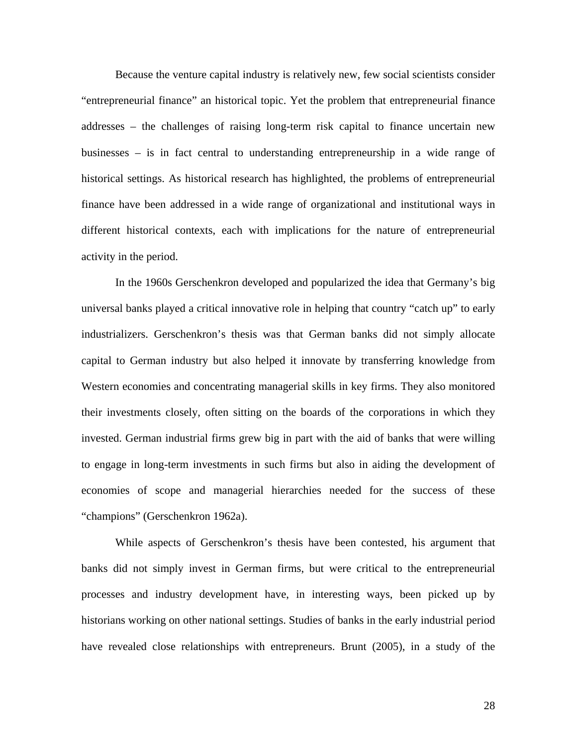Because the venture capital industry is relatively new, few social scientists consider "entrepreneurial finance" an historical topic. Yet the problem that entrepreneurial finance addresses – the challenges of raising long-term risk capital to finance uncertain new businesses – is in fact central to understanding entrepreneurship in a wide range of historical settings. As historical research has highlighted, the problems of entrepreneurial finance have been addressed in a wide range of organizational and institutional ways in different historical contexts, each with implications for the nature of entrepreneurial activity in the period.

 In the 1960s Gerschenkron developed and popularized the idea that Germany's big universal banks played a critical innovative role in helping that country "catch up" to early industrializers. Gerschenkron's thesis was that German banks did not simply allocate capital to German industry but also helped it innovate by transferring knowledge from Western economies and concentrating managerial skills in key firms. They also monitored their investments closely, often sitting on the boards of the corporations in which they invested. German industrial firms grew big in part with the aid of banks that were willing to engage in long-term investments in such firms but also in aiding the development of economies of scope and managerial hierarchies needed for the success of these "champions" (Gerschenkron 1962a).

 While aspects of Gerschenkron's thesis have been contested, his argument that banks did not simply invest in German firms, but were critical to the entrepreneurial processes and industry development have, in interesting ways, been picked up by historians working on other national settings. Studies of banks in the early industrial period have revealed close relationships with entrepreneurs. Brunt (2005), in a study of the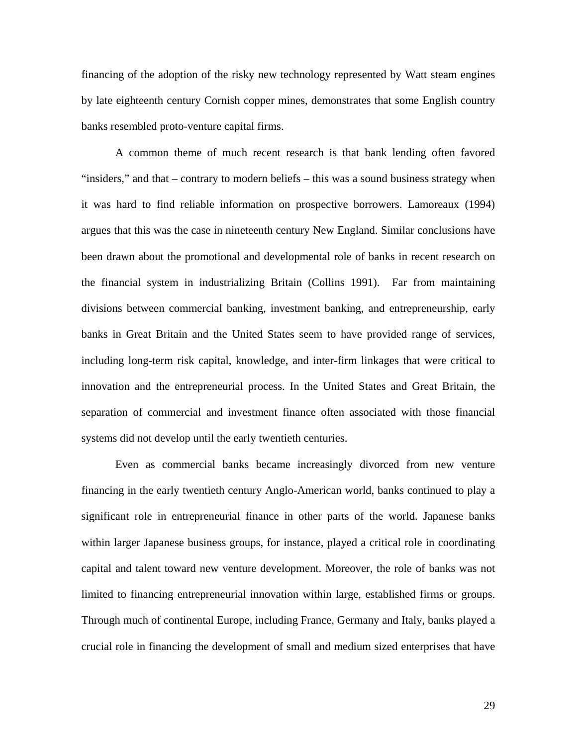financing of the adoption of the risky new technology represented by Watt steam engines by late eighteenth century Cornish copper mines, demonstrates that some English country banks resembled proto-venture capital firms.

A common theme of much recent research is that bank lending often favored "insiders," and that – contrary to modern beliefs – this was a sound business strategy when it was hard to find reliable information on prospective borrowers. Lamoreaux (1994) argues that this was the case in nineteenth century New England. Similar conclusions have been drawn about the promotional and developmental role of banks in recent research on the financial system in industrializing Britain (Collins 1991). Far from maintaining divisions between commercial banking, investment banking, and entrepreneurship, early banks in Great Britain and the United States seem to have provided range of services, including long-term risk capital, knowledge, and inter-firm linkages that were critical to innovation and the entrepreneurial process. In the United States and Great Britain, the separation of commercial and investment finance often associated with those financial systems did not develop until the early twentieth centuries.

 Even as commercial banks became increasingly divorced from new venture financing in the early twentieth century Anglo-American world, banks continued to play a significant role in entrepreneurial finance in other parts of the world. Japanese banks within larger Japanese business groups, for instance, played a critical role in coordinating capital and talent toward new venture development. Moreover, the role of banks was not limited to financing entrepreneurial innovation within large, established firms or groups. Through much of continental Europe, including France, Germany and Italy, banks played a crucial role in financing the development of small and medium sized enterprises that have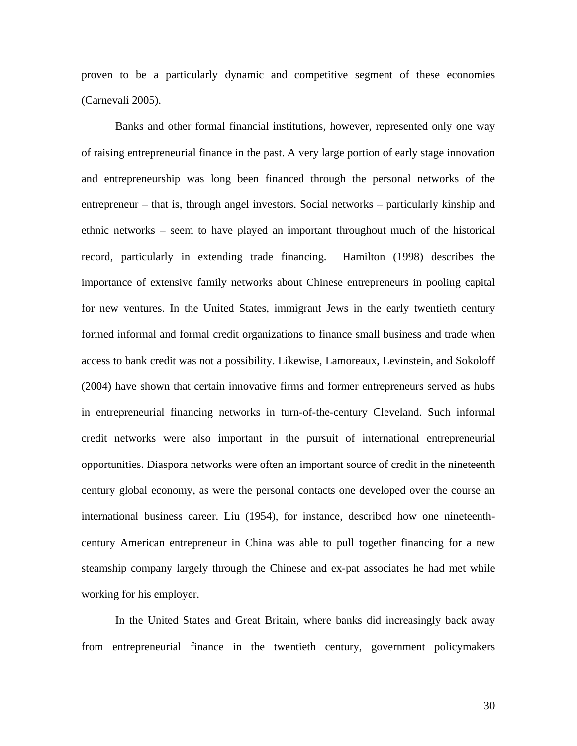proven to be a particularly dynamic and competitive segment of these economies (Carnevali 2005).

 Banks and other formal financial institutions, however, represented only one way of raising entrepreneurial finance in the past. A very large portion of early stage innovation and entrepreneurship was long been financed through the personal networks of the entrepreneur – that is, through angel investors. Social networks – particularly kinship and ethnic networks – seem to have played an important throughout much of the historical record, particularly in extending trade financing. Hamilton (1998) describes the importance of extensive family networks about Chinese entrepreneurs in pooling capital for new ventures. In the United States, immigrant Jews in the early twentieth century formed informal and formal credit organizations to finance small business and trade when access to bank credit was not a possibility. Likewise, Lamoreaux, Levinstein, and Sokoloff (2004) have shown that certain innovative firms and former entrepreneurs served as hubs in entrepreneurial financing networks in turn-of-the-century Cleveland. Such informal credit networks were also important in the pursuit of international entrepreneurial opportunities. Diaspora networks were often an important source of credit in the nineteenth century global economy, as were the personal contacts one developed over the course an international business career. Liu (1954), for instance, described how one nineteenthcentury American entrepreneur in China was able to pull together financing for a new steamship company largely through the Chinese and ex-pat associates he had met while working for his employer.

 In the United States and Great Britain, where banks did increasingly back away from entrepreneurial finance in the twentieth century, government policymakers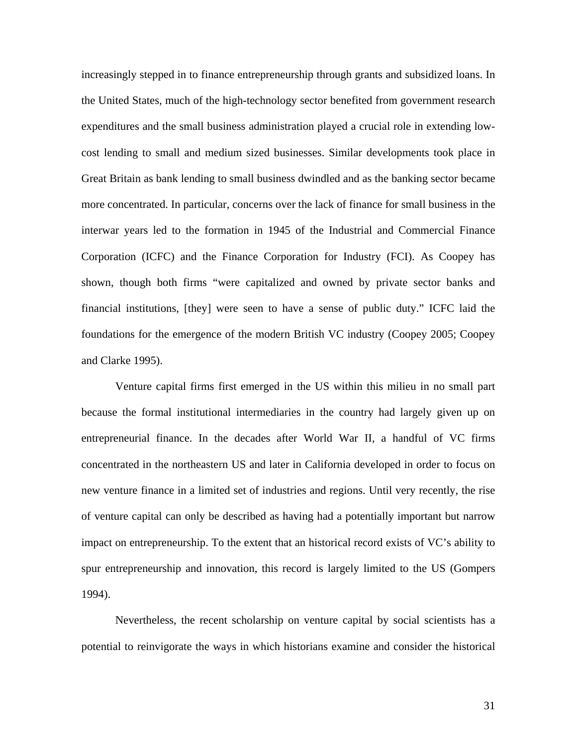increasingly stepped in to finance entrepreneurship through grants and subsidized loans. In the United States, much of the high-technology sector benefited from government research expenditures and the small business administration played a crucial role in extending lowcost lending to small and medium sized businesses. Similar developments took place in Great Britain as bank lending to small business dwindled and as the banking sector became more concentrated. In particular, concerns over the lack of finance for small business in the interwar years led to the formation in 1945 of the Industrial and Commercial Finance Corporation (ICFC) and the Finance Corporation for Industry (FCI). As Coopey has shown, though both firms "were capitalized and owned by private sector banks and financial institutions, [they] were seen to have a sense of public duty." ICFC laid the foundations for the emergence of the modern British VC industry (Coopey 2005; Coopey and Clarke 1995).

 Venture capital firms first emerged in the US within this milieu in no small part because the formal institutional intermediaries in the country had largely given up on entrepreneurial finance. In the decades after World War II, a handful of VC firms concentrated in the northeastern US and later in California developed in order to focus on new venture finance in a limited set of industries and regions. Until very recently, the rise of venture capital can only be described as having had a potentially important but narrow impact on entrepreneurship. To the extent that an historical record exists of VC's ability to spur entrepreneurship and innovation, this record is largely limited to the US (Gompers 1994).

 Nevertheless, the recent scholarship on venture capital by social scientists has a potential to reinvigorate the ways in which historians examine and consider the historical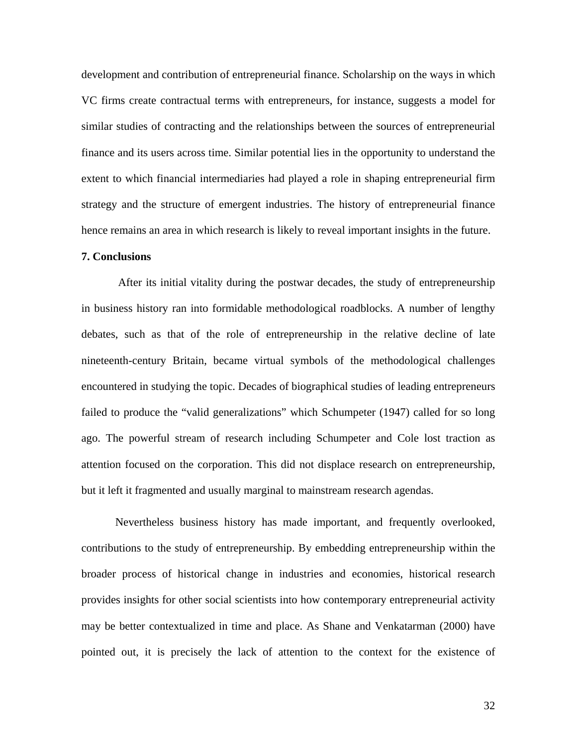development and contribution of entrepreneurial finance. Scholarship on the ways in which VC firms create contractual terms with entrepreneurs, for instance, suggests a model for similar studies of contracting and the relationships between the sources of entrepreneurial finance and its users across time. Similar potential lies in the opportunity to understand the extent to which financial intermediaries had played a role in shaping entrepreneurial firm strategy and the structure of emergent industries. The history of entrepreneurial finance hence remains an area in which research is likely to reveal important insights in the future.

## **7. Conclusions**

 After its initial vitality during the postwar decades, the study of entrepreneurship in business history ran into formidable methodological roadblocks. A number of lengthy debates, such as that of the role of entrepreneurship in the relative decline of late nineteenth-century Britain, became virtual symbols of the methodological challenges encountered in studying the topic. Decades of biographical studies of leading entrepreneurs failed to produce the "valid generalizations" which Schumpeter (1947) called for so long ago. The powerful stream of research including Schumpeter and Cole lost traction as attention focused on the corporation. This did not displace research on entrepreneurship, but it left it fragmented and usually marginal to mainstream research agendas.

Nevertheless business history has made important, and frequently overlooked, contributions to the study of entrepreneurship. By embedding entrepreneurship within the broader process of historical change in industries and economies, historical research provides insights for other social scientists into how contemporary entrepreneurial activity may be better contextualized in time and place. As Shane and Venkatarman (2000) have pointed out, it is precisely the lack of attention to the context for the existence of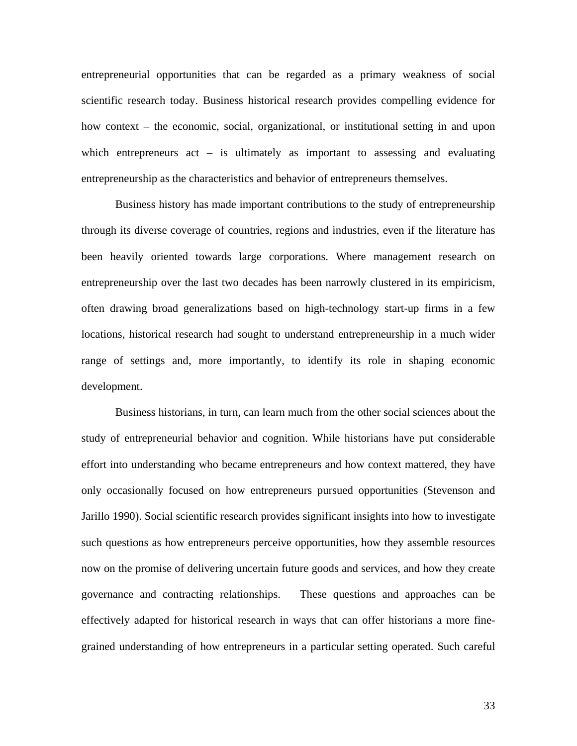entrepreneurial opportunities that can be regarded as a primary weakness of social scientific research today. Business historical research provides compelling evidence for how context – the economic, social, organizational, or institutional setting in and upon which entrepreneurs  $act - is$  ultimately as important to assessing and evaluating entrepreneurship as the characteristics and behavior of entrepreneurs themselves.

Business history has made important contributions to the study of entrepreneurship through its diverse coverage of countries, regions and industries, even if the literature has been heavily oriented towards large corporations. Where management research on entrepreneurship over the last two decades has been narrowly clustered in its empiricism, often drawing broad generalizations based on high-technology start-up firms in a few locations, historical research had sought to understand entrepreneurship in a much wider range of settings and, more importantly, to identify its role in shaping economic development.

Business historians, in turn, can learn much from the other social sciences about the study of entrepreneurial behavior and cognition. While historians have put considerable effort into understanding who became entrepreneurs and how context mattered, they have only occasionally focused on how entrepreneurs pursued opportunities (Stevenson and Jarillo 1990). Social scientific research provides significant insights into how to investigate such questions as how entrepreneurs perceive opportunities, how they assemble resources now on the promise of delivering uncertain future goods and services, and how they create governance and contracting relationships. These questions and approaches can be effectively adapted for historical research in ways that can offer historians a more finegrained understanding of how entrepreneurs in a particular setting operated. Such careful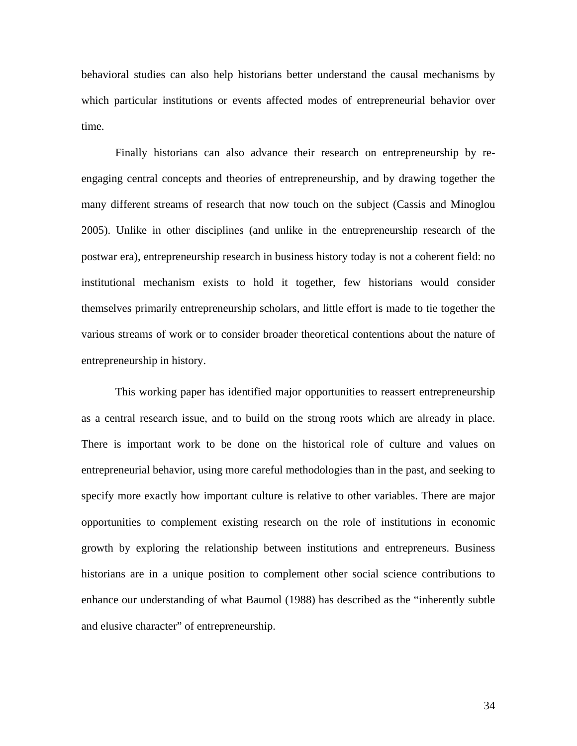behavioral studies can also help historians better understand the causal mechanisms by which particular institutions or events affected modes of entrepreneurial behavior over time.

Finally historians can also advance their research on entrepreneurship by reengaging central concepts and theories of entrepreneurship, and by drawing together the many different streams of research that now touch on the subject (Cassis and Minoglou 2005). Unlike in other disciplines (and unlike in the entrepreneurship research of the postwar era), entrepreneurship research in business history today is not a coherent field: no institutional mechanism exists to hold it together, few historians would consider themselves primarily entrepreneurship scholars, and little effort is made to tie together the various streams of work or to consider broader theoretical contentions about the nature of entrepreneurship in history.

This working paper has identified major opportunities to reassert entrepreneurship as a central research issue, and to build on the strong roots which are already in place. There is important work to be done on the historical role of culture and values on entrepreneurial behavior, using more careful methodologies than in the past, and seeking to specify more exactly how important culture is relative to other variables. There are major opportunities to complement existing research on the role of institutions in economic growth by exploring the relationship between institutions and entrepreneurs. Business historians are in a unique position to complement other social science contributions to enhance our understanding of what Baumol (1988) has described as the "inherently subtle and elusive character" of entrepreneurship.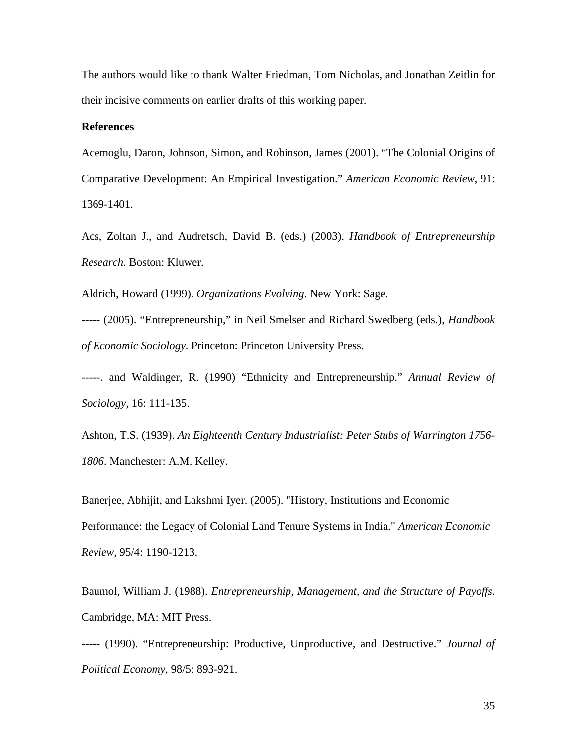The authors would like to thank Walter Friedman, Tom Nicholas, and Jonathan Zeitlin for their incisive comments on earlier drafts of this working paper.

## **References**

Acemoglu, Daron, Johnson, Simon, and Robinson, James (2001). "The Colonial Origins of Comparative Development: An Empirical Investigation." *American Economic Review*, 91: 1369-1401.

Acs, Zoltan J., and Audretsch, David B. (eds.) (2003). *Handbook of Entrepreneurship Research.* Boston: Kluwer.

Aldrich, Howard (1999). *Organizations Evolving*. New York: Sage.

----- (2005). "Entrepreneurship," in Neil Smelser and Richard Swedberg (eds.), *Handbook of Economic Sociology.* Princeton: Princeton University Press.

-----. and Waldinger, R. (1990) "Ethnicity and Entrepreneurship." *Annual Review of Sociology,* 16: 111-135.

Ashton, T.S. (1939). *An Eighteenth Century Industrialist: Peter Stubs of Warrington 1756- 1806*. Manchester: A.M. Kelley.

Banerjee, Abhijit, and Lakshmi Iyer. (2005). "History, Institutions and Economic Performance: the Legacy of Colonial Land Tenure Systems in India." *American Economic Review,* 95/4: 1190-1213.

Baumol, William J. (1988). *Entrepreneurship, Management, and the Structure of Payoffs*. Cambridge, MA: MIT Press.

----- (1990). "Entrepreneurship: Productive, Unproductive, and Destructive." *Journal of Political Economy*, 98/5: 893-921.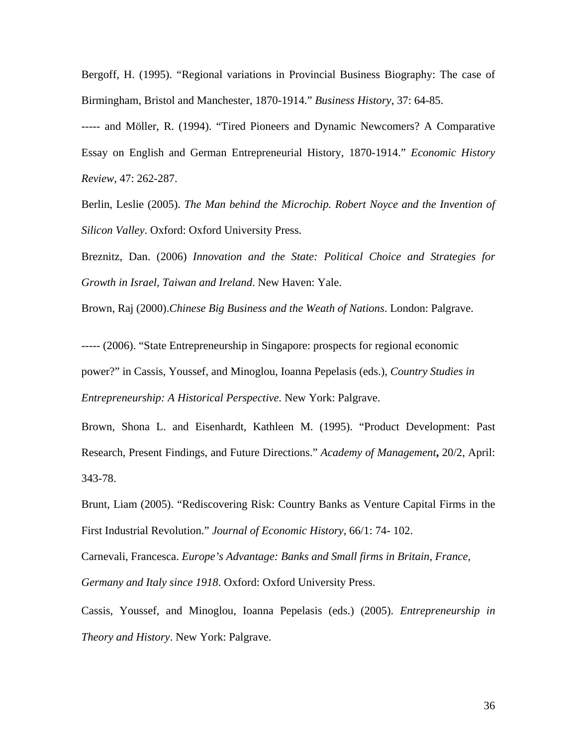Bergoff, H. (1995). "Regional variations in Provincial Business Biography: The case of Birmingham, Bristol and Manchester, 1870-1914." *Business History*, 37: 64-85.

----- and Möller, R. (1994). "Tired Pioneers and Dynamic Newcomers? A Comparative Essay on English and German Entrepreneurial History, 1870-1914." *Economic History Review,* 47: 262-287.

Berlin, Leslie (2005). *The Man behind the Microchip. Robert Noyce and the Invention of Silicon Valley*. Oxford: Oxford University Press.

Breznitz, Dan. (2006) *Innovation and the State: Political Choice and Strategies for Growth in Israel, Taiwan and Ireland*. New Haven: Yale.

Brown, Raj (2000).*Chinese Big Business and the Weath of Nations*. London: Palgrave.

----- (2006). "State Entrepreneurship in Singapore: prospects for regional economic power?" in Cassis, Youssef, and Minoglou, Ioanna Pepelasis (eds.), *Country Studies in Entrepreneurship: A Historical Perspective.* New York: Palgrave.

Brown, Shona L. and Eisenhardt, Kathleen M. (1995). "Product Development: Past Research, Present Findings, and Future Directions." *Academy of Management***,** 20/2, April: 343-78.

Brunt, Liam (2005). "Rediscovering Risk: Country Banks as Venture Capital Firms in the First Industrial Revolution." *Journal of Economic History*, 66/1: 74- 102.

Carnevali, Francesca. *Europe's Advantage: Banks and Small firms in Britain, France, Germany and Italy since 1918*. Oxford: Oxford University Press.

Cassis, Youssef, and Minoglou, Ioanna Pepelasis (eds.) (2005). *Entrepreneurship in Theory and History*. New York: Palgrave.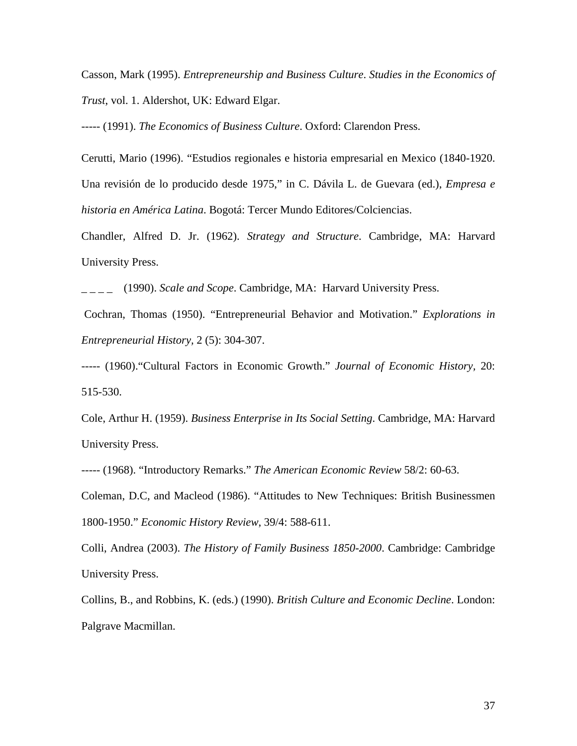Casson, Mark (1995). *Entrepreneurship and Business Culture*. *Studies in the Economics of Trust*, vol. 1. Aldershot, UK: Edward Elgar.

----- (1991). *The Economics of Business Culture*. Oxford: Clarendon Press.

Cerutti, Mario (1996). "Estudios regionales e historia empresarial en Mexico (1840-1920. Una revisión de lo producido desde 1975," in C. Dávila L. de Guevara (ed.), *Empresa e historia en América Latina*. Bogotá: Tercer Mundo Editores/Colciencias.

Chandler, Alfred D. Jr. (1962). *Strategy and Structure*. Cambridge, MA: Harvard University Press.

\_ \_ \_ \_ (1990). *Scale and Scope*. Cambridge, MA: Harvard University Press.

 Cochran, Thomas (1950). "Entrepreneurial Behavior and Motivation." *Explorations in Entrepreneurial History,* 2 (5): 304-307.

----- (1960)."Cultural Factors in Economic Growth." *Journal of Economic History,* 20: 515-530.

Cole, Arthur H. (1959). *Business Enterprise in Its Social Setting*. Cambridge, MA: Harvard University Press.

----- (1968). "Introductory Remarks." *The American Economic Review* 58/2: 60-63.

Coleman, D.C, and Macleod (1986). "Attitudes to New Techniques: British Businessmen 1800-1950." *Economic History Review*, 39/4: 588-611.

Colli, Andrea (2003). *The History of Family Business 1850-2000*. Cambridge: Cambridge University Press.

Collins, B., and Robbins, K. (eds.) (1990). *British Culture and Economic Decline*. London: Palgrave Macmillan.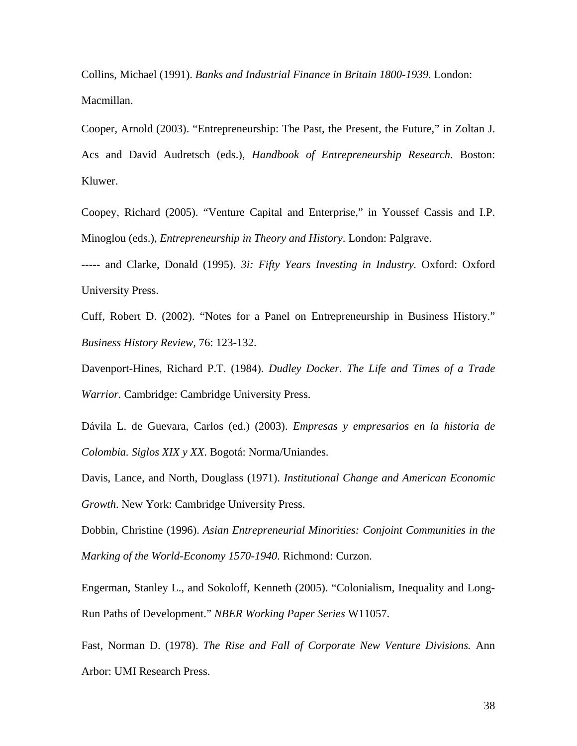Collins, Michael (1991). *Banks and Industrial Finance in Britain 1800-1939.* London: Macmillan.

Cooper, Arnold (2003). "Entrepreneurship: The Past, the Present, the Future," in Zoltan J. Acs and David Audretsch (eds.), *Handbook of Entrepreneurship Research.* Boston: Kluwer.

Coopey, Richard (2005). "Venture Capital and Enterprise," in Youssef Cassis and I.P. Minoglou (eds.), *Entrepreneurship in Theory and History*. London: Palgrave.

----- and Clarke, Donald (1995). *3i: Fifty Years Investing in Industry.* Oxford: Oxford University Press.

Cuff, Robert D. (2002). "Notes for a Panel on Entrepreneurship in Business History." *Business History Review,* 76: 123-132.

Davenport-Hines, Richard P.T. (1984). *Dudley Docker. The Life and Times of a Trade Warrior.* Cambridge: Cambridge University Press.

Dávila L. de Guevara, Carlos (ed.) (2003). *Empresas y empresarios en la historia de Colombia. Siglos XIX y XX*. Bogotá: Norma/Uniandes.

Davis, Lance, and North, Douglass (1971). *Institutional Change and American Economic Growth*. New York: Cambridge University Press.

Dobbin, Christine (1996). *Asian Entrepreneurial Minorities: Conjoint Communities in the Marking of the World-Economy 1570-1940.* Richmond: Curzon.

Engerman, Stanley L., and Sokoloff, Kenneth (2005). "Colonialism, Inequality and Long-Run Paths of Development." *NBER Working Paper Series* W11057.

Fast, Norman D. (1978). *The Rise and Fall of Corporate New Venture Divisions.* Ann Arbor: UMI Research Press.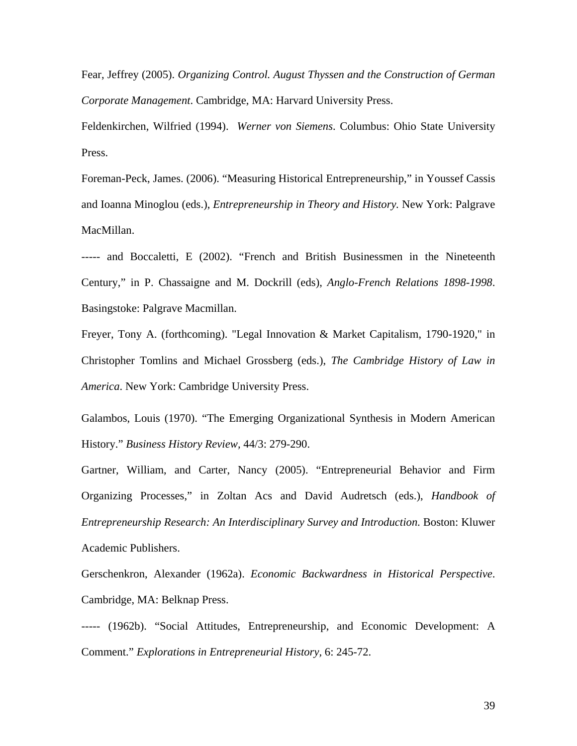Fear, Jeffrey (2005). *Organizing Control. August Thyssen and the Construction of German Corporate Management*. Cambridge, MA: Harvard University Press.

Feldenkirchen, Wilfried (1994). *Werner von Siemens*. Columbus: Ohio State University Press.

Foreman-Peck, James. (2006). "Measuring Historical Entrepreneurship," in Youssef Cassis and Ioanna Minoglou (eds.), *Entrepreneurship in Theory and History.* New York: Palgrave MacMillan.

----- and Boccaletti, E (2002). "French and British Businessmen in the Nineteenth Century," in P. Chassaigne and M. Dockrill (eds), *Anglo-French Relations 1898-1998*. Basingstoke: Palgrave Macmillan.

Freyer, Tony A. (forthcoming). "Legal Innovation & Market Capitalism, 1790-1920," in Christopher Tomlins and Michael Grossberg (eds.), *The Cambridge History of Law in America*. New York: Cambridge University Press.

Galambos, Louis (1970). "The Emerging Organizational Synthesis in Modern American History." *Business History Review,* 44/3: 279-290.

Gartner, William, and Carter, Nancy (2005). "Entrepreneurial Behavior and Firm Organizing Processes," in Zoltan Acs and David Audretsch (eds.), *Handbook of Entrepreneurship Research: An Interdisciplinary Survey and Introduction*. Boston: Kluwer Academic Publishers.

Gerschenkron, Alexander (1962a). *Economic Backwardness in Historical Perspective*. Cambridge, MA: Belknap Press.

----- (1962b). "Social Attitudes, Entrepreneurship, and Economic Development: A Comment." *Explorations in Entrepreneurial History,* 6: 245-72.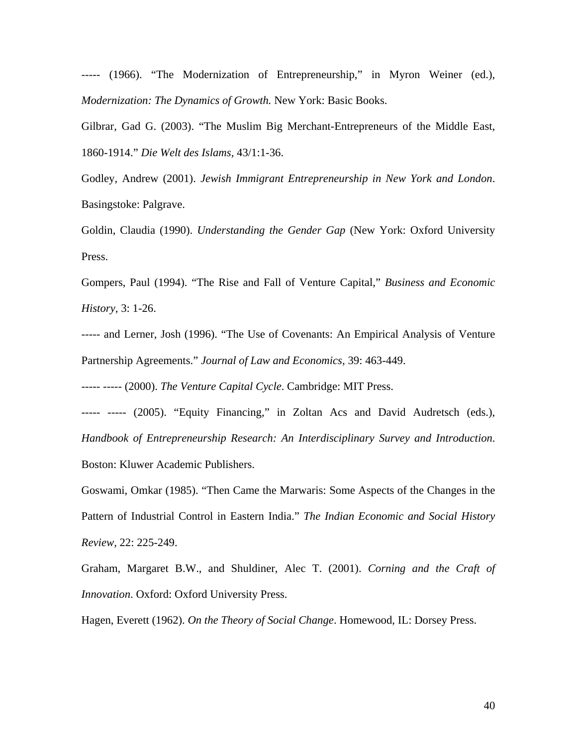----- (1966). "The Modernization of Entrepreneurship," in Myron Weiner (ed.), *Modernization: The Dynamics of Growth.* New York: Basic Books.

Gilbrar, Gad G. (2003). "The Muslim Big Merchant-Entrepreneurs of the Middle East, 1860-1914." *Die Welt des Islams,* 43/1:1-36.

Godley, Andrew (2001). *Jewish Immigrant Entrepreneurship in New York and London*. Basingstoke: Palgrave.

Goldin, Claudia (1990). *Understanding the Gender Gap* (New York: Oxford University Press.

Gompers, Paul (1994). "The Rise and Fall of Venture Capital," *Business and Economic History,* 3: 1-26.

----- and Lerner, Josh (1996). "The Use of Covenants: An Empirical Analysis of Venture Partnership Agreements." *Journal of Law and Economics,* 39: 463-449.

----- ----- (2000). *The Venture Capital Cycle*. Cambridge: MIT Press.

----- ----- (2005). "Equity Financing," in Zoltan Acs and David Audretsch (eds.), *Handbook of Entrepreneurship Research: An Interdisciplinary Survey and Introduction*. Boston: Kluwer Academic Publishers.

Goswami, Omkar (1985). "Then Came the Marwaris: Some Aspects of the Changes in the Pattern of Industrial Control in Eastern India." *The Indian Economic and Social History Review,* 22: 225-249.

Graham, Margaret B.W., and Shuldiner, Alec T. (2001). *Corning and the Craft of Innovation*. Oxford: Oxford University Press.

Hagen, Everett (1962). *On the Theory of Social Change*. Homewood, IL: Dorsey Press.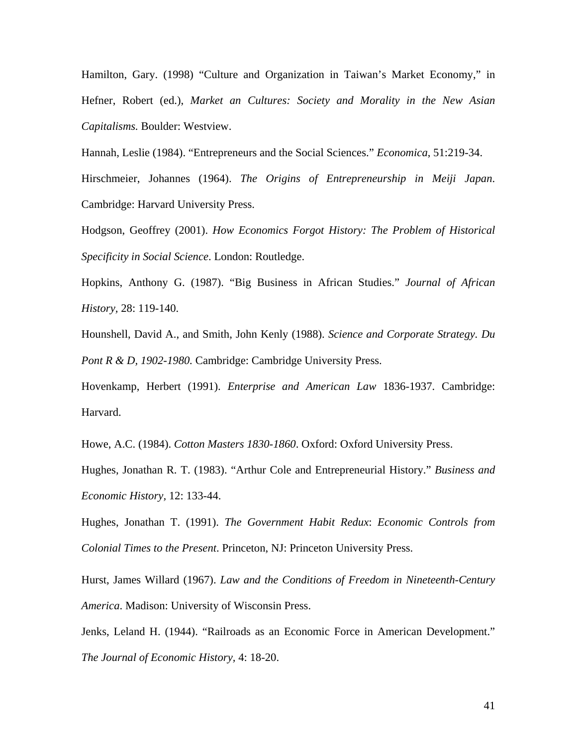Hamilton, Gary. (1998) "Culture and Organization in Taiwan's Market Economy," in Hefner, Robert (ed.), *Market an Cultures: Society and Morality in the New Asian Capitalisms.* Boulder: Westview.

Hannah, Leslie (1984). "Entrepreneurs and the Social Sciences." *Economica*, 51:219-34. Hirschmeier, Johannes (1964). *The Origins of Entrepreneurship in Meiji Japan*. Cambridge: Harvard University Press.

Hodgson, Geoffrey (2001). *How Economics Forgot History: The Problem of Historical Specificity in Social Science*. London: Routledge.

Hopkins, Anthony G. (1987). "Big Business in African Studies." *Journal of African History,* 28: 119-140.

Hounshell, David A., and Smith, John Kenly (1988). *Science and Corporate Strategy. Du Pont R & D, 1902-1980.* Cambridge: Cambridge University Press.

Hovenkamp, Herbert (1991). *Enterprise and American Law* 1836-1937. Cambridge: Harvard.

Howe, A.C. (1984). *Cotton Masters 1830-1860*. Oxford: Oxford University Press.

Hughes, Jonathan R. T. (1983). "Arthur Cole and Entrepreneurial History." *Business and Economic History,* 12: 133-44.

Hughes, Jonathan T. (1991). *The Government Habit Redux*: *Economic Controls from Colonial Times to the Present*. Princeton, NJ: Princeton University Press.

Hurst, James Willard (1967). *Law and the Conditions of Freedom in Nineteenth-Century America*. Madison: University of Wisconsin Press.

Jenks, Leland H. (1944). "Railroads as an Economic Force in American Development." *The Journal of Economic History,* 4: 18-20.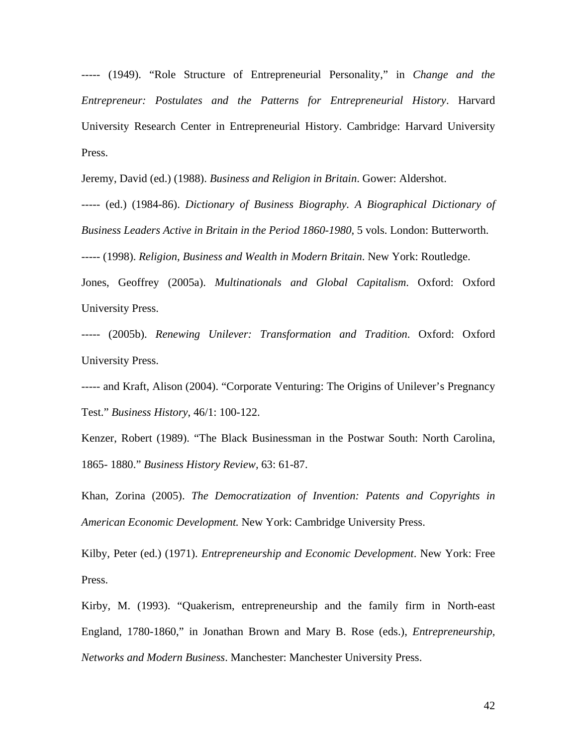----- (1949). "Role Structure of Entrepreneurial Personality," in *Change and the Entrepreneur: Postulates and the Patterns for Entrepreneurial History*. Harvard University Research Center in Entrepreneurial History. Cambridge: Harvard University Press.

Jeremy, David (ed.) (1988). *Business and Religion in Britain*. Gower: Aldershot.

----- (ed.) (1984-86). *Dictionary of Business Biography. A Biographical Dictionary of Business Leaders Active in Britain in the Period 1860-1980*, 5 vols. London: Butterworth.

----- (1998). *Religion, Business and Wealth in Modern Britain*. New York: Routledge.

Jones, Geoffrey (2005a). *Multinationals and Global Capitalism*. Oxford: Oxford University Press.

----- (2005b). *Renewing Unilever: Transformation and Tradition*. Oxford: Oxford University Press.

----- and Kraft, Alison (2004). "Corporate Venturing: The Origins of Unilever's Pregnancy Test." *Business History*, 46/1: 100-122.

Kenzer, Robert (1989). "The Black Businessman in the Postwar South: North Carolina, 1865- 1880." *Business History Review,* 63: 61-87.

Khan, Zorina (2005). *The Democratization of Invention: Patents and Copyrights in American Economic Development.* New York: Cambridge University Press.

Kilby, Peter (ed.) (1971). *Entrepreneurship and Economic Development*. New York: Free Press.

Kirby, M. (1993). "Quakerism, entrepreneurship and the family firm in North-east England, 1780-1860," in Jonathan Brown and Mary B. Rose (eds.), *Entrepreneurship, Networks and Modern Business*. Manchester: Manchester University Press.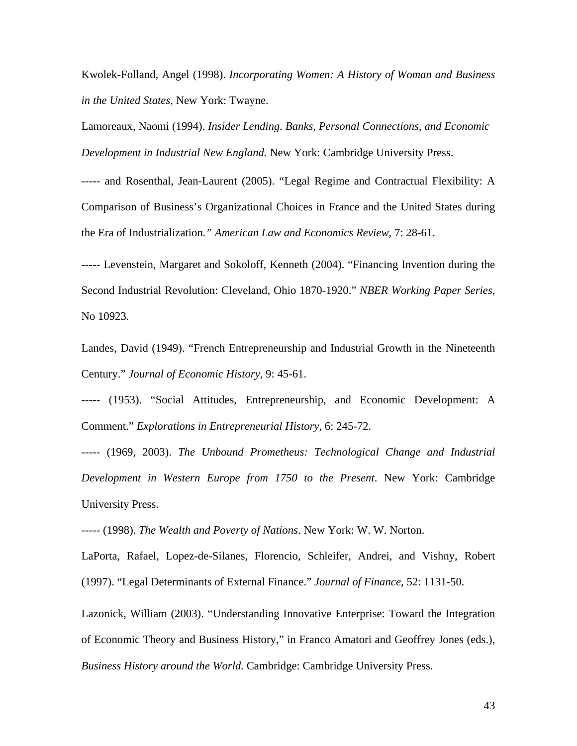Kwolek-Folland, Angel (1998). *Incorporating Women: A History of Woman and Business in the United States,* New York: Twayne.

Lamoreaux, Naomi (1994). *Insider Lending. Banks, Personal Connections, and Economic Development in Industrial New England*. New York: Cambridge University Press.

----- and Rosenthal, Jean-Laurent (2005). "Legal Regime and Contractual Flexibility: A Comparison of Business's Organizational Choices in France and the United States during the Era of Industrialization*." American Law and Economics Review,* 7: 28-61.

----- Levenstein, Margaret and Sokoloff, Kenneth (2004). "Financing Invention during the Second Industrial Revolution: Cleveland, Ohio 1870-1920." *NBER Working Paper Series*, No 10923.

Landes, David (1949). "French Entrepreneurship and Industrial Growth in the Nineteenth Century." *Journal of Economic History,* 9: 45-61.

----- (1953). "Social Attitudes, Entrepreneurship, and Economic Development: A Comment." *Explorations in Entrepreneurial History,* 6: 245-72.

----- (1969, 2003). *The Unbound Prometheus: Technological Change and Industrial Development in Western Europe from 1750 to the Present*. New York: Cambridge University Press.

----- (1998). *The Wealth and Poverty of Nations*. New York: W. W. Norton.

LaPorta, Rafael, Lopez-de-Silanes, Florencio, Schleifer, Andrei, and Vishny, Robert (1997). "Legal Determinants of External Finance." *Journal of Finance,* 52: 1131-50.

Lazonick, William (2003). "Understanding Innovative Enterprise: Toward the Integration of Economic Theory and Business History," in Franco Amatori and Geoffrey Jones (eds.), *Business History around the World*. Cambridge: Cambridge University Press.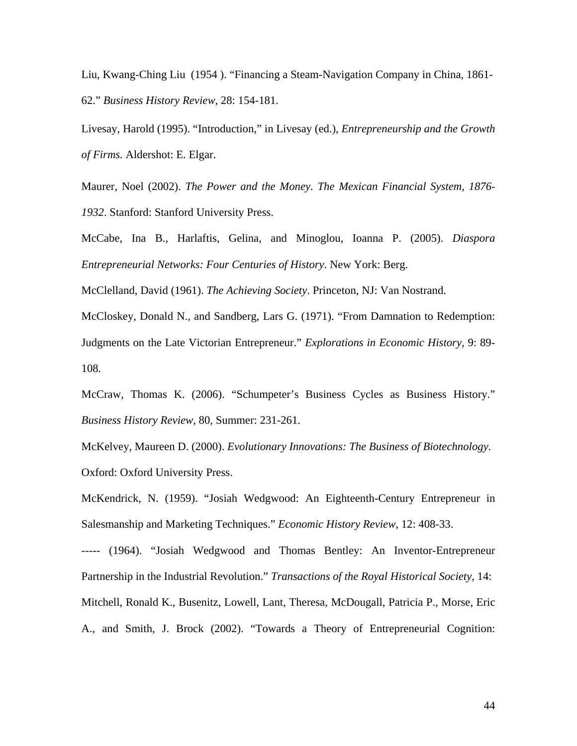Liu, Kwang-Ching Liu (1954 ). "Financing a Steam-Navigation Company in China, 1861- 62." *Business History Review,* 28: 154-181.

Livesay, Harold (1995). "Introduction," in Livesay (ed.), *Entrepreneurship and the Growth of Firms.* Aldershot: E. Elgar.

Maurer, Noel (2002). *The Power and the Money. The Mexican Financial System, 1876- 1932*. Stanford: Stanford University Press.

McCabe, Ina B., Harlaftis, Gelina, and Minoglou, Ioanna P. (2005). *Diaspora Entrepreneurial Networks: Four Centuries of History*. New York: Berg.

McClelland, David (1961). *The Achieving Society*. Princeton, NJ: Van Nostrand.

McCloskey, Donald N., and Sandberg, Lars G. (1971). "From Damnation to Redemption: Judgments on the Late Victorian Entrepreneur." *Explorations in Economic History,* 9: 89- 108.

McCraw, Thomas K. (2006). "Schumpeter's Business Cycles as Business History." *Business History Review,* 80, Summer: 231-261.

McKelvey, Maureen D. (2000). *Evolutionary Innovations: The Business of Biotechnology*. Oxford: Oxford University Press.

McKendrick, N. (1959). "Josiah Wedgwood: An Eighteenth-Century Entrepreneur in Salesmanship and Marketing Techniques." *Economic History Review,* 12: 408-33.

----- (1964). "Josiah Wedgwood and Thomas Bentley: An Inventor-Entrepreneur Partnership in the Industrial Revolution." *Transactions of the Royal Historical Society,* 14: Mitchell, Ronald K., Busenitz, Lowell, Lant, Theresa, McDougall, Patricia P., Morse, Eric A., and Smith, J. Brock (2002). "Towards a Theory of Entrepreneurial Cognition: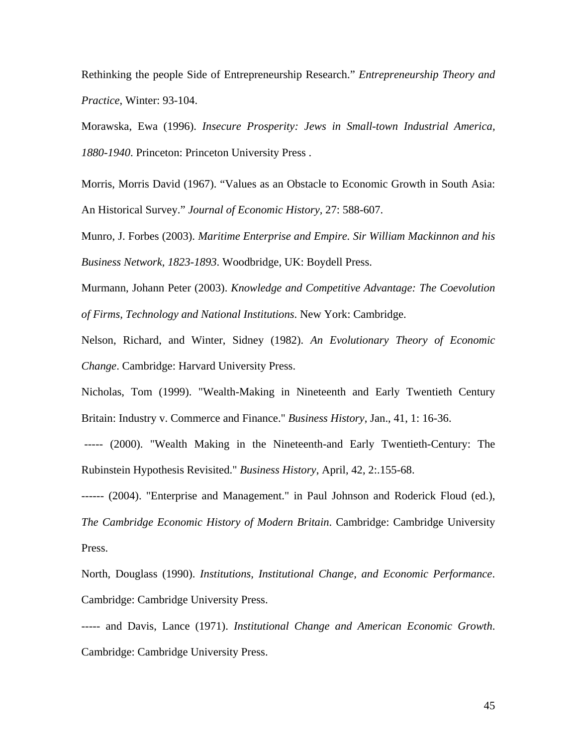Rethinking the people Side of Entrepreneurship Research." *Entrepreneurship Theory and Practice*, Winter: 93-104.

Morawska, Ewa (1996). *Insecure Prosperity: Jews in Small-town Industrial America, 1880-1940*. Princeton: Princeton University Press .

Morris, Morris David (1967). "Values as an Obstacle to Economic Growth in South Asia: An Historical Survey." *Journal of Economic History,* 27: 588-607.

Munro, J. Forbes (2003). *Maritime Enterprise and Empire. Sir William Mackinnon and his Business Network, 1823-1893*. Woodbridge, UK: Boydell Press.

Murmann, Johann Peter (2003). *Knowledge and Competitive Advantage: The Coevolution of Firms, Technology and National Institutions*. New York: Cambridge.

Nelson, Richard, and Winter, Sidney (1982). *An Evolutionary Theory of Economic Change*. Cambridge: Harvard University Press.

Nicholas, Tom (1999). "Wealth-Making in Nineteenth and Early Twentieth Century Britain: Industry v. Commerce and Finance." *Business History*, Jan., 41, 1: 16-36.

 ----- (2000). "Wealth Making in the Nineteenth-and Early Twentieth-Century: The Rubinstein Hypothesis Revisited." *Business History*, April, 42, 2:.155-68.

------ (2004). "Enterprise and Management." in Paul Johnson and Roderick Floud (ed.), *The Cambridge Economic History of Modern Britain*. Cambridge: Cambridge University Press.

North, Douglass (1990). *Institutions, Institutional Change, and Economic Performance*. Cambridge: Cambridge University Press.

----- and Davis, Lance (1971). *Institutional Change and American Economic Growth*. Cambridge: Cambridge University Press.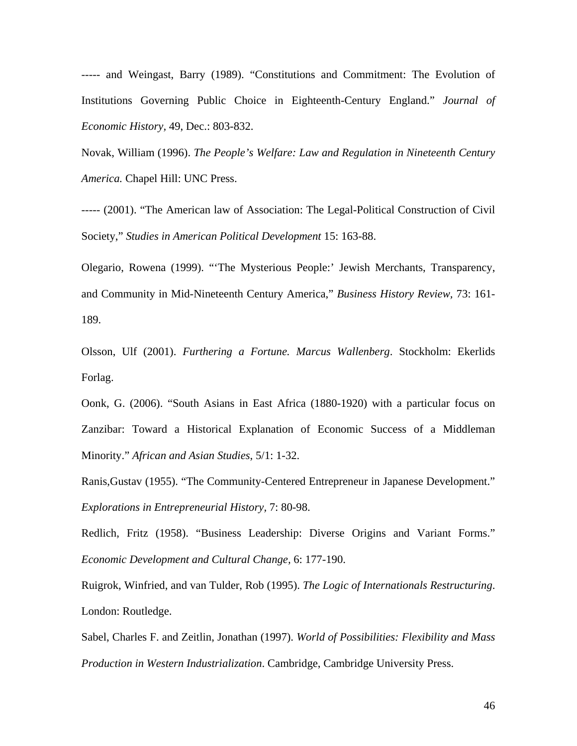----- and Weingast, Barry (1989). "Constitutions and Commitment: The Evolution of Institutions Governing Public Choice in Eighteenth-Century England." *Journal of Economic History,* 49, Dec.: 803-832.

Novak, William (1996). *The People's Welfare: Law and Regulation in Nineteenth Century America.* Chapel Hill: UNC Press.

----- (2001). "The American law of Association: The Legal-Political Construction of Civil Society," *Studies in American Political Development* 15: 163-88.

Olegario, Rowena (1999). "'The Mysterious People:' Jewish Merchants, Transparency, and Community in Mid-Nineteenth Century America," *Business History Review,* 73: 161- 189.

Olsson, Ulf (2001). *Furthering a Fortune. Marcus Wallenberg*. Stockholm: Ekerlids Forlag.

Oonk, G. (2006). "South Asians in East Africa (1880-1920) with a particular focus on Zanzibar: Toward a Historical Explanation of Economic Success of a Middleman Minority." *African and Asian Studies*, 5/1: 1-32.

Ranis,Gustav (1955). "The Community-Centered Entrepreneur in Japanese Development." *Explorations in Entrepreneurial History,* 7: 80-98.

Redlich, Fritz (1958). "Business Leadership: Diverse Origins and Variant Forms." *Economic Development and Cultural Change,* 6: 177-190.

Ruigrok, Winfried, and van Tulder, Rob (1995). *The Logic of Internationals Restructuring*. London: Routledge.

Sabel, Charles F. and Zeitlin, Jonathan (1997). *World of Possibilities: Flexibility and Mass Production in Western Industrialization*. Cambridge, Cambridge University Press.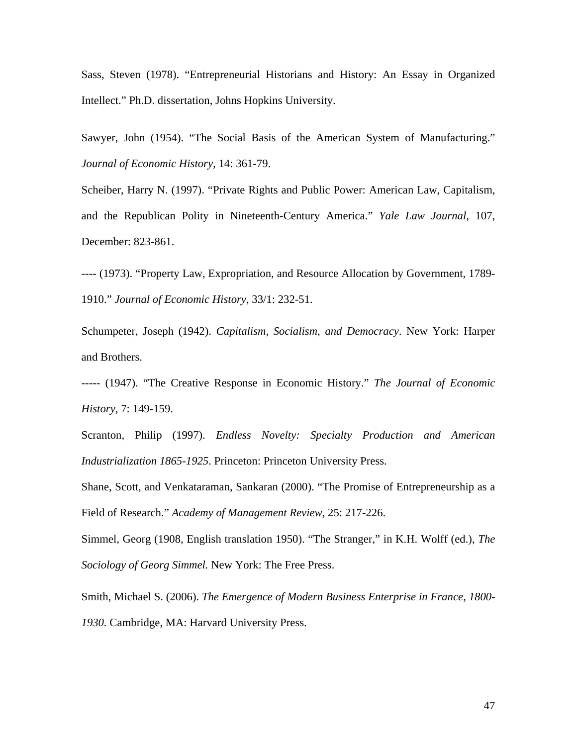Sass, Steven (1978). "Entrepreneurial Historians and History: An Essay in Organized Intellect." Ph.D. dissertation, Johns Hopkins University.

Sawyer, John (1954). "The Social Basis of the American System of Manufacturing." *Journal of Economic History,* 14: 361-79.

Scheiber, Harry N. (1997). "Private Rights and Public Power: American Law, Capitalism, and the Republican Polity in Nineteenth-Century America." *Yale Law Journal,* 107, December: 823-861.

---- (1973). "Property Law, Expropriation, and Resource Allocation by Government, 1789- 1910." *Journal of Economic History*, 33/1: 232-51.

Schumpeter, Joseph (1942). *Capitalism, Socialism, and Democracy*. New York: Harper and Brothers.

----- (1947). "The Creative Response in Economic History." *The Journal of Economic History,* 7: 149-159.

Scranton, Philip (1997). *Endless Novelty: Specialty Production and American Industrialization 1865-1925*. Princeton: Princeton University Press.

Shane, Scott, and Venkataraman, Sankaran (2000). "The Promise of Entrepreneurship as a Field of Research." *Academy of Management Review,* 25: 217-226.

Simmel, Georg (1908, English translation 1950). "The Stranger," in K.H. Wolff (ed.), *The Sociology of Georg Simmel.* New York: The Free Press.

Smith, Michael S. (2006). *The Emergence of Modern Business Enterprise in France, 1800- 1930.* Cambridge, MA: Harvard University Press.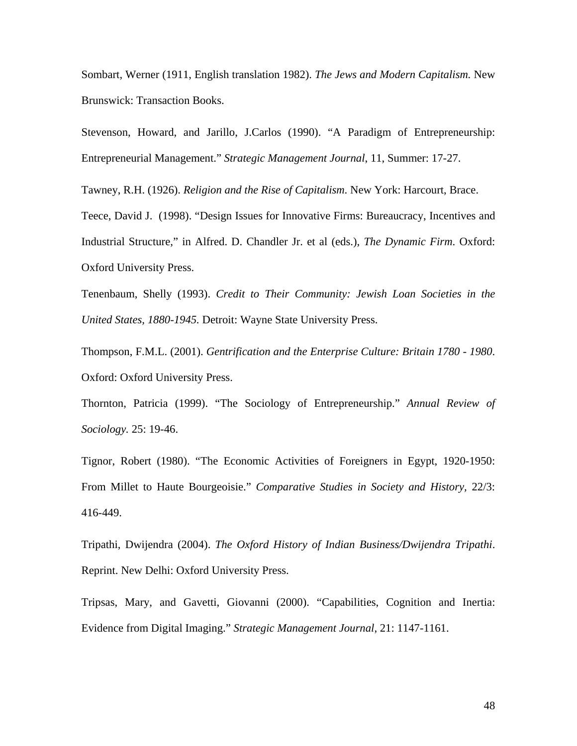Sombart, Werner (1911, English translation 1982). *The Jews and Modern Capitalism.* New Brunswick: Transaction Books.

Stevenson, Howard, and Jarillo, J.Carlos (1990). "A Paradigm of Entrepreneurship: Entrepreneurial Management." *Strategic Management Journal*, 11, Summer: 17-27.

Tawney, R.H. (1926). *Religion and the Rise of Capitalism*. New York: Harcourt, Brace.

Teece, David J. (1998). "Design Issues for Innovative Firms: Bureaucracy, Incentives and Industrial Structure," in Alfred. D. Chandler Jr. et al (eds.), *The Dynamic Firm*. Oxford: Oxford University Press.

Tenenbaum, Shelly (1993). *Credit to Their Community: Jewish Loan Societies in the United States, 1880-1945.* Detroit: Wayne State University Press.

Thompson, F.M.L. (2001). *Gentrification and the Enterprise Culture: Britain 1780 - 1980*. Oxford: Oxford University Press.

Thornton, Patricia (1999). "The Sociology of Entrepreneurship." *Annual Review of Sociology.* 25: 19-46.

Tignor, Robert (1980). "The Economic Activities of Foreigners in Egypt, 1920-1950: From Millet to Haute Bourgeoisie." *Comparative Studies in Society and History,* 22/3: 416-449.

Tripathi, Dwijendra (2004). *The Oxford History of Indian Business/Dwijendra Tripathi*. Reprint. New Delhi: Oxford University Press.

Tripsas, Mary, and Gavetti, Giovanni (2000). "Capabilities, Cognition and Inertia: Evidence from Digital Imaging." *Strategic Management Journal*, 21: 1147-1161.